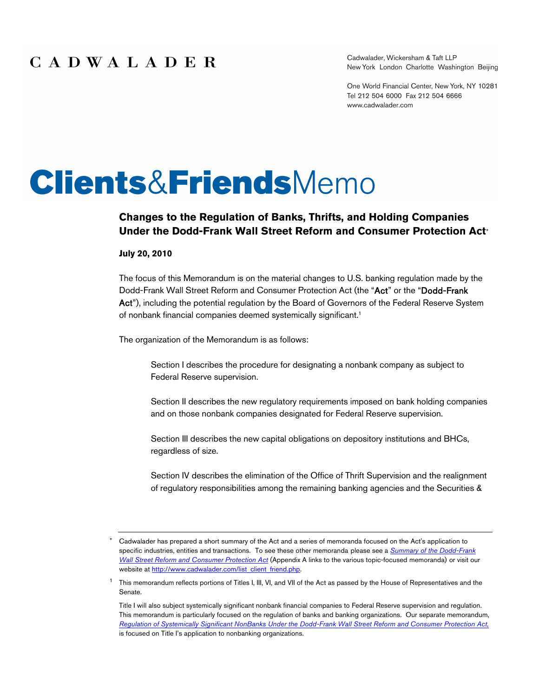Cadwalader, Wickersham & Taft LLP New York London Charlotte Washington Beijing

One World Financial Center, New York, NY 10281 Tel 212 504 6000 Fax 212 504 6666 www.cadwalader.com

# **Clients&Friends**Memo

## **Changes to the Regulation of Banks, Thrifts, and Holding Companies Under the Dodd-Frank Wall Street Reform and Consumer Protection Act**

#### **July 20, 2010**

The focus of this Memorandum is on the material changes to U.S. banking regulation made by the Dodd-Frank Wall Street Reform and Consumer Protection Act (the "Act" or the "Dodd-Frank Act"), including the potential regulation by the Board of Governors of the Federal Reserve System of nonbank financial companies deemed systemically significant.<sup>1</sup>

The organization of the Memorandum is as follows:

Section I describes the procedure for designating a nonbank company as subject to Federal Reserve supervision.

Section II describes the new regulatory requirements imposed on bank holding companies and on those nonbank companies designated for Federal Reserve supervision.

Section III describes the new capital obligations on depository institutions and BHCs, regardless of size.

Section IV describes the elimination of the Office of Thrift Supervision and the realignment of regulatory responsibilities among the remaining banking agencies and the Securities &

Cadwalader has prepared a short summary of the Act and a series of memoranda focused on the Act's application to specific industries, entities and transactions. To see these other memoranda please see a *Summary of the Dodd-Frank Wall Street Reform and Consumer Protection Act* (Appendix A links to the various topic-focused memoranda) or visit our website at http://www.cadwalader.com/list\_client\_friend.php.

<sup>&</sup>lt;sup>1</sup> This memorandum reflects portions of Titles I, III, VI, and VII of the Act as passed by the House of Representatives and the Senate.

Title I will also subject systemically significant nonbank financial companies to Federal Reserve supervision and regulation. This memorandum is particularly focused on the regulation of banks and banking organizations. Our separate memorandum, *Regulation of Systemically Significant NonBanks Under the Dodd-Frank Wall Street Reform and Consumer Protection Act*, is focused on Title I's application to nonbanking organizations.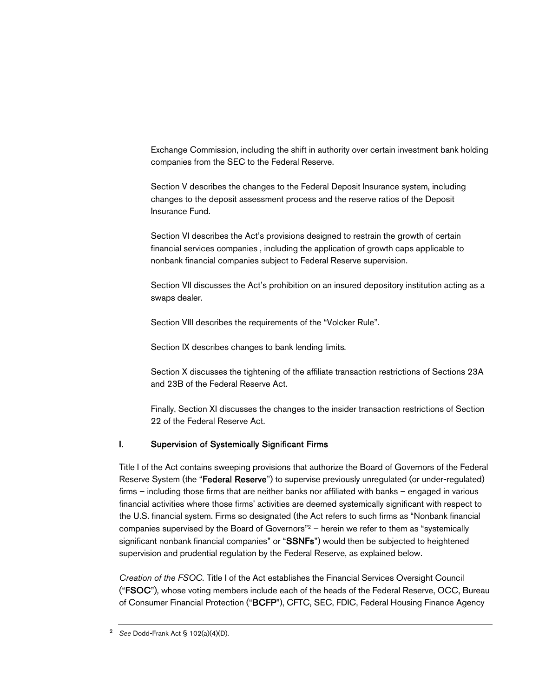Exchange Commission, including the shift in authority over certain investment bank holding companies from the SEC to the Federal Reserve.

Section V describes the changes to the Federal Deposit Insurance system, including changes to the deposit assessment process and the reserve ratios of the Deposit Insurance Fund.

Section VI describes the Act's provisions designed to restrain the growth of certain financial services companies , including the application of growth caps applicable to nonbank financial companies subject to Federal Reserve supervision.

Section VII discusses the Act's prohibition on an insured depository institution acting as a swaps dealer.

Section VIII describes the requirements of the "Volcker Rule".

Section IX describes changes to bank lending limits.

Section X discusses the tightening of the affiliate transaction restrictions of Sections 23A and 23B of the Federal Reserve Act.

Finally, Section XI discusses the changes to the insider transaction restrictions of Section 22 of the Federal Reserve Act.

## I. Supervision of Systemically Significant Firms

Title I of the Act contains sweeping provisions that authorize the Board of Governors of the Federal Reserve System (the "Federal Reserve") to supervise previously unregulated (or under-regulated) firms – including those firms that are neither banks nor affiliated with banks – engaged in various financial activities where those firms' activities are deemed systemically significant with respect to the U.S. financial system. Firms so designated (the Act refers to such firms as "Nonbank financial companies supervised by the Board of Governors"<sup>2</sup> – herein we refer to them as "systemically significant nonbank financial companies" or "SSNFs") would then be subjected to heightened supervision and prudential regulation by the Federal Reserve, as explained below.

*Creation of the FSOC.* Title I of the Act establishes the Financial Services Oversight Council ("FSOC"), whose voting members include each of the heads of the Federal Reserve, OCC, Bureau of Consumer Financial Protection ("BCFP"), CFTC, SEC, FDIC, Federal Housing Finance Agency

<sup>2</sup> *See* Dodd-Frank Act § 102(a)(4)(D).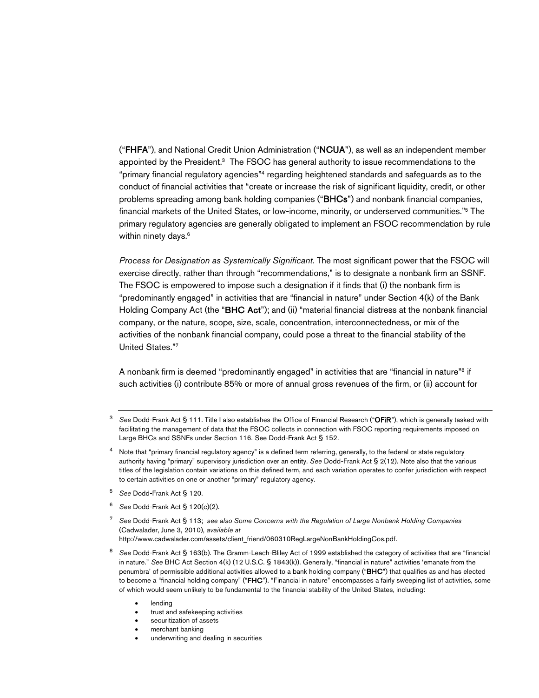("FHFA"), and National Credit Union Administration ("NCUA"), as well as an independent member appointed by the President. <sup>3</sup> The FSOC has general authority to issue recommendations to the "primary financial regulatory agencies"<sup>4</sup> regarding heightened standards and safeguards as to the conduct of financial activities that "create or increase the risk of significant liquidity, credit, or other problems spreading among bank holding companies ("BHCs") and nonbank financial companies, financial markets of the United States, or low-income, minority, or underserved communities."<sup>5</sup> The primary regulatory agencies are generally obligated to implement an FSOC recommendation by rule within ninety days.<sup>6</sup>

*Process for Designation as Systemically Significant.* The most significant power that the FSOC will exercise directly, rather than through "recommendations," is to designate a nonbank firm an SSNF. The FSOC is empowered to impose such a designation if it finds that (i) the nonbank firm is "predominantly engaged" in activities that are "financial in nature" under Section 4(k) of the Bank Holding Company Act (the "BHC Act"); and (ii) "material financial distress at the nonbank financial company, or the nature, scope, size, scale, concentration, interconnectedness, or mix of the activities of the nonbank financial company, could pose a threat to the financial stability of the United States."<sup>7</sup>

A nonbank firm is deemed "predominantly engaged" in activities that are "financial in nature"<sup>8</sup> if such activities (i) contribute 85% or more of annual gross revenues of the firm, or (ii) account for

- <sup>5</sup> *See* Dodd-Frank Act § 120.
- <sup>6</sup> *See* Dodd-Frank Act § 120(c)(2).
- <sup>7</sup> *See* Dodd-Frank Act § 113; *see also Some Concerns with the Regulation of Large Nonbank Holding Companies* (Cadwalader, June 3, 2010), *available at* http://www.cadwalader.com/assets/client\_friend/060310RegLargeNonBankHoldingCos.pdf.
- <sup>8</sup> *See* Dodd-Frank Act § 163(b). The Gramm-Leach-Bliley Act of 1999 established the category of activities that are "financial in nature." *See* BHC Act Section 4(k) (12 U.S.C. § 1843(k)). Generally, "financial in nature" activities 'emanate from the penumbra' of permissible additional activities allowed to a bank holding company ("BHC") that qualifies as and has elected to become a "financial holding company" ("FHC"). "Financial in nature" encompasses a fairly sweeping list of activities, some of which would seem unlikely to be fundamental to the financial stability of the United States, including:
	- lending
	- trust and safekeeping activities
	- securitization of assets
	- merchant banking
	- underwriting and dealing in securities

<sup>3</sup> *See* Dodd-Frank Act § 111. Title I also establishes the Office of Financial Research ("OFiR"), which is generally tasked with facilitating the management of data that the FSOC collects in connection with FSOC reporting requirements imposed on Large BHCs and SSNFs under Section 116. See Dodd-Frank Act § 152.

<sup>&</sup>lt;sup>4</sup> Note that "primary financial regulatory agency" is a defined term referring, generally, to the federal or state regulatory authority having "primary" supervisory jurisdiction over an entity. *See* Dodd-Frank Act § 2(12). Note also that the various titles of the legislation contain variations on this defined term, and each variation operates to confer jurisdiction with respect to certain activities on one or another "primary" regulatory agency.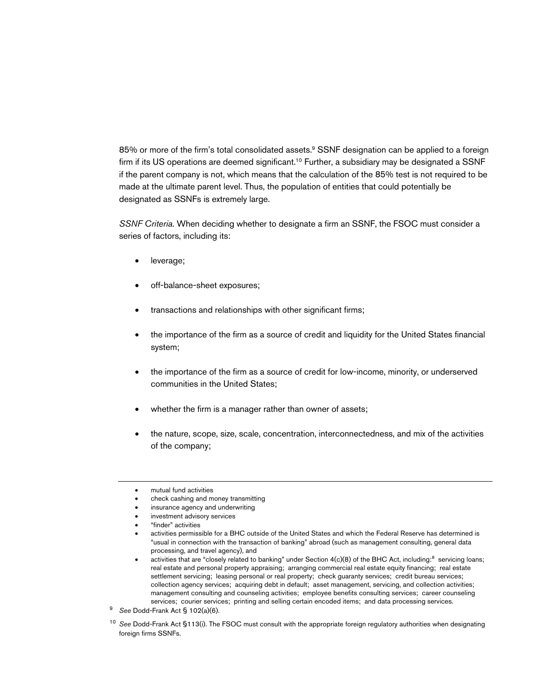85% or more of the firm's total consolidated assets.<sup>9</sup> SSNF designation can be applied to a foreign firm if its US operations are deemed significant.<sup>10</sup> Further, a subsidiary may be designated a SSNF if the parent company is not, which means that the calculation of the 85% test is not required to be made at the ultimate parent level. Thus, the population of entities that could potentially be designated as SSNFs is extremely large.

*SSNF Criteria.* When deciding whether to designate a firm an SSNF, the FSOC must consider a series of factors, including its:

- leverage;
- off-balance-sheet exposures;
- transactions and relationships with other significant firms;
- the importance of the firm as a source of credit and liquidity for the United States financial system;
- the importance of the firm as a source of credit for low-income, minority, or underserved communities in the United States;
- whether the firm is a manager rather than owner of assets;
- the nature, scope, size, scale, concentration, interconnectedness, and mix of the activities of the company;
- mutual fund activities
- check cashing and money transmitting
- insurance agency and underwriting
- investment advisory services
- "finder" activities
- activities permissible for a BHC outside of the United States and which the Federal Reserve has determined is "usual in connection with the transaction of banking" abroad (such as management consulting, general data processing, and travel agency), and
- $\bullet$  activities that are "closely related to banking" under Section 4(c)(8) of the BHC Act, including:<sup>8</sup> servicing loans; real estate and personal property appraising; arranging commercial real estate equity financing; real estate settlement servicing; leasing personal or real property; check guaranty services; credit bureau services; collection agency services; acquiring debt in default; asset management, servicing, and collection activities; management consulting and counseling activities; employee benefits consulting services; career counseling services; courier services; printing and selling certain encoded items; and data processing services.
- <sup>9</sup> *See* Dodd-Frank Act § 102(a)(6).
- <sup>10</sup> *See* Dodd-Frank Act §113(i). The FSOC must consult with the appropriate foreign regulatory authorities when designating foreign firms SSNFs.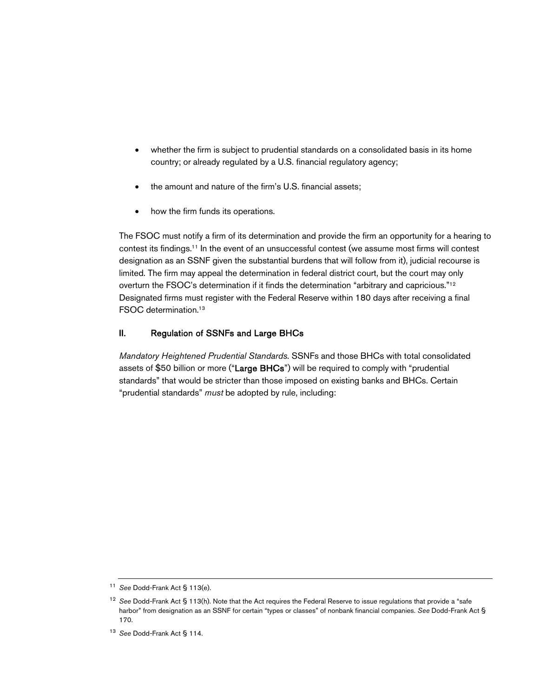- whether the firm is subject to prudential standards on a consolidated basis in its home country; or already regulated by a U.S. financial regulatory agency;
- the amount and nature of the firm's U.S. financial assets;
- how the firm funds its operations.

The FSOC must notify a firm of its determination and provide the firm an opportunity for a hearing to contest its findings.<sup>11</sup> In the event of an unsuccessful contest (we assume most firms will contest designation as an SSNF given the substantial burdens that will follow from it), judicial recourse is limited. The firm may appeal the determination in federal district court, but the court may only overturn the FSOC's determination if it finds the determination "arbitrary and capricious."<sup>12</sup> Designated firms must register with the Federal Reserve within 180 days after receiving a final FSOC determination.<sup>13</sup>

#### II. Regulation of SSNFs and Large BHCs

*Mandatory Heightened Prudential Standards.* SSNFs and those BHCs with total consolidated assets of \$50 billion or more ("Large BHCs") will be required to comply with "prudential standards" that would be stricter than those imposed on existing banks and BHCs. Certain "prudential standards" *must* be adopted by rule, including:

<sup>11</sup> *See* Dodd-Frank Act § 113(e).

<sup>12</sup> *See* Dodd-Frank Act § 113(h). Note that the Act requires the Federal Reserve to issue regulations that provide a "safe harbor" from designation as an SSNF for certain "types or classes" of nonbank financial companies. *See* Dodd-Frank Act § 170.

<sup>13</sup> *See* Dodd-Frank Act § 114.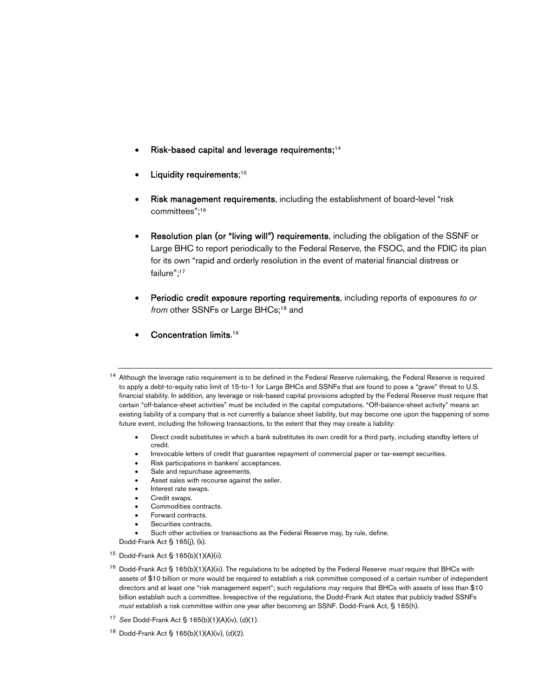- Risk-based capital and leverage requirements;<sup>14</sup>
- Liquidity requirements;<sup>15</sup>
- Risk management requirements, including the establishment of board-level "risk committees";<sup>16</sup>
- Resolution plan (or "living will") requirements, including the obligation of the SSNF or Large BHC to report periodically to the Federal Reserve, the FSOC, and the FDIC its plan for its own "rapid and orderly resolution in the event of material financial distress or failure";<sup>17</sup>
- Periodic credit exposure reporting requirements, including reports of exposures *to or*  from other SSNFs or Large BHCs;<sup>18</sup> and
- Concentration limits.<sup>19</sup>

- Direct credit substitutes in which a bank substitutes its own credit for a third party, including standby letters of credit.
- Irrevocable letters of credit that guarantee repayment of commercial paper or tax-exempt securities.
- Risk participations in bankers' acceptances.
- Sale and repurchase agreements.
- Asset sales with recourse against the seller.
- Interest rate swaps.
- Credit swaps.
- Commodities contracts.
- Forward contracts.
- Securities contracts.
- Such other activities or transactions as the Federal Reserve may, by rule, define.

Dodd-Frank Act § 165(j), (k).

- $15$  Dodd-Frank Act § 165(b)(1)(A)(ii).
- <sup>16</sup> Dodd-Frank Act § 165(b)(1)(A)(iii). The regulations to be adopted by the Federal Reserve *must* require that BHCs with assets of \$10 billion or more would be required to establish a risk committee composed of a certain number of independent directors and at least one "risk management expert"; such regulations *may* require that BHCs with assets of less than \$10 billion establish such a committee. Irrespective of the regulations, the Dodd-Frank Act states that publicly traded SSNFs *must* establish a risk committee within one year after becoming an SSNF. Dodd-Frank Act, § 165(h).
- <sup>17</sup> *See* Dodd-Frank Act § 165(b)(1)(A)(iv), (d)(1).
- <sup>18</sup> Dodd-Frank Act § 165(b)(1)(A)(iv), (d)(2).

<sup>&</sup>lt;sup>14</sup> Although the leverage ratio requirement is to be defined in the Federal Reserve rulemaking, the Federal Reserve is required to apply a debt-to-equity ratio limit of 15-to-1 for Large BHCs and SSNFs that are found to pose a "grave" threat to U.S. financial stability. In addition, any leverage or risk-based capital provisions adopted by the Federal Reserve must require that certain "off-balance-sheet activities" must be included in the capital computations. "Off-balance-sheet activity" means an existing liability of a company that is not currently a balance sheet liability, but may become one upon the happening of some future event, including the following transactions, to the extent that they may create a liability: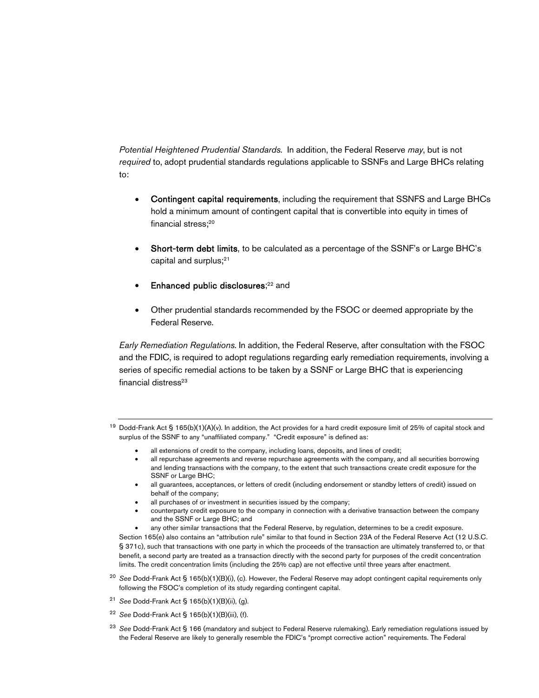*Potential Heightened Prudential Standards.* In addition, the Federal Reserve *may*, but is not *required* to, adopt prudential standards regulations applicable to SSNFs and Large BHCs relating to:

- Contingent capital requirements, including the requirement that SSNFS and Large BHCs hold a minimum amount of contingent capital that is convertible into equity in times of financial stress:<sup>20</sup>
- Short-term debt limits, to be calculated as a percentage of the SSNF's or Large BHC's capital and surplus;<sup>21</sup>
- Enhanced public disclosures;<sup>22</sup> and
- Other prudential standards recommended by the FSOC or deemed appropriate by the Federal Reserve.

*Early Remediation Regulations.* In addition, the Federal Reserve, after consultation with the FSOC and the FDIC, is required to adopt regulations regarding early remediation requirements, involving a series of specific remedial actions to be taken by a SSNF or Large BHC that is experiencing financial distress<sup>23</sup>

<sup>19</sup> Dodd-Frank Act § 165(b)(1)(A)(v). In addition, the Act provides for a hard credit exposure limit of 25% of capital stock and surplus of the SSNF to any "unaffiliated company." "Credit exposure" is defined as:

- all extensions of credit to the company, including loans, deposits, and lines of credit;
- all repurchase agreements and reverse repurchase agreements with the company, and all securities borrowing and lending transactions with the company, to the extent that such transactions create credit exposure for the SSNF or Large BHC;
- all guarantees, acceptances, or letters of credit (including endorsement or standby letters of credit) issued on behalf of the company;
- all purchases of or investment in securities issued by the company;
- counterparty credit exposure to the company in connection with a derivative transaction between the company and the SSNF or Large BHC; and
- any other similar transactions that the Federal Reserve, by regulation, determines to be a credit exposure.

Section 165(e) also contains an "attribution rule" similar to that found in Section 23A of the Federal Reserve Act (12 U.S.C. § 371c), such that transactions with one party in which the proceeds of the transaction are ultimately transferred to, or that benefit, a second party are treated as a transaction directly with the second party for purposes of the credit concentration limits. The credit concentration limits (including the 25% cap) are not effective until three years after enactment.

- <sup>20</sup> *See* Dodd-Frank Act § 165(b)(1)(B)(i), (c). However, the Federal Reserve may adopt contingent capital requirements only following the FSOC's completion of its study regarding contingent capital.
- <sup>21</sup> *See* Dodd-Frank Act § 165(b)(1)(B)(ii), (g).
- <sup>22</sup> *See* Dodd-Frank Act § 165(b)(1)(B)(iii), (f).
- <sup>23</sup> *See* Dodd-Frank Act § 166 (mandatory and subject to Federal Reserve rulemaking). Early remediation regulations issued by the Federal Reserve are likely to generally resemble the FDIC's "prompt corrective action" requirements. The Federal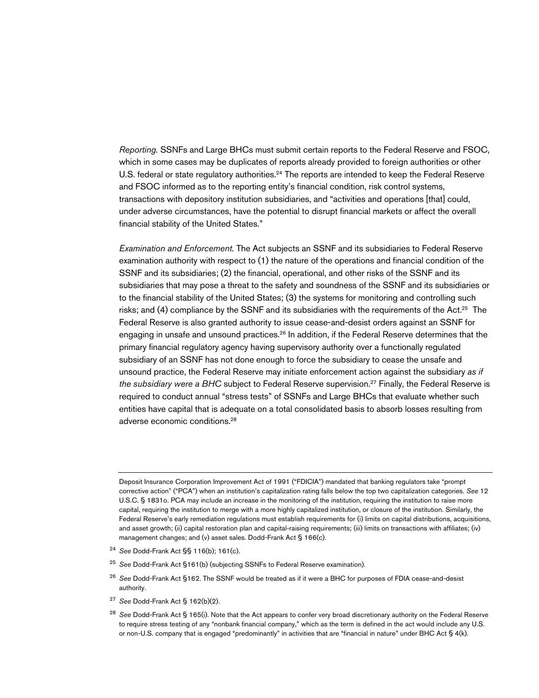*Reporting.* SSNFs and Large BHCs must submit certain reports to the Federal Reserve and FSOC, which in some cases may be duplicates of reports already provided to foreign authorities or other U.S. federal or state regulatory authorities.<sup>24</sup> The reports are intended to keep the Federal Reserve and FSOC informed as to the reporting entity's financial condition, risk control systems, transactions with depository institution subsidiaries, and "activities and operations [that] could, under adverse circumstances, have the potential to disrupt financial markets or affect the overall financial stability of the United States."

*Examination and Enforcement.* The Act subjects an SSNF and its subsidiaries to Federal Reserve examination authority with respect to (1) the nature of the operations and financial condition of the SSNF and its subsidiaries; (2) the financial, operational, and other risks of the SSNF and its subsidiaries that may pose a threat to the safety and soundness of the SSNF and its subsidiaries or to the financial stability of the United States; (3) the systems for monitoring and controlling such risks; and (4) compliance by the SSNF and its subsidiaries with the requirements of the Act.<sup>25</sup> The Federal Reserve is also granted authority to issue cease-and-desist orders against an SSNF for engaging in unsafe and unsound practices.<sup>26</sup> In addition, if the Federal Reserve determines that the primary financial regulatory agency having supervisory authority over a functionally regulated subsidiary of an SSNF has not done enough to force the subsidiary to cease the unsafe and unsound practice, the Federal Reserve may initiate enforcement action against the subsidiary *as if the subsidiary were a BHC* subject to Federal Reserve supervision.<sup>27</sup> Finally, the Federal Reserve is required to conduct annual "stress tests" of SSNFs and Large BHCs that evaluate whether such entities have capital that is adequate on a total consolidated basis to absorb losses resulting from adverse economic conditions.<sup>28</sup>

Deposit Insurance Corporation Improvement Act of 1991 ("FDICIA") mandated that banking regulators take "prompt corrective action" ("PCA") when an institution's capitalization rating falls below the top two capitalization categories. *See* 12 U.S.C. § 1831o. PCA may include an increase in the monitoring of the institution, requiring the institution to raise more capital, requiring the institution to merge with a more highly capitalized institution, or closure of the institution. Similarly, the Federal Reserve's early remediation regulations must establish requirements for (i) limits on capital distributions, acquisitions, and asset growth; (ii) capital restoration plan and capital-raising requirements; (iii) limits on transactions with affiliates; (iv) management changes; and (v) asset sales. Dodd-Frank Act § 166(c).

- <sup>24</sup> *See* Dodd-Frank Act §§ 116(b); 161(c).
- <sup>25</sup> *See* Dodd-Frank Act §161(b) (subjecting SSNFs to Federal Reserve examination).
- <sup>26</sup> *See* Dodd-Frank Act §162. The SSNF would be treated as if it were a BHC for purposes of FDIA cease-and-desist authority.
- <sup>27</sup> *See* Dodd-Frank Act § 162(b)(2).
- <sup>28</sup> *See* Dodd-Frank Act § 165(i). Note that the Act appears to confer very broad discretionary authority on the Federal Reserve to require stress testing of any "nonbank financial company," which as the term is defined in the act would include any U.S. or non-U.S. company that is engaged "predominantly" in activities that are "financial in nature" under BHC Act § 4(k).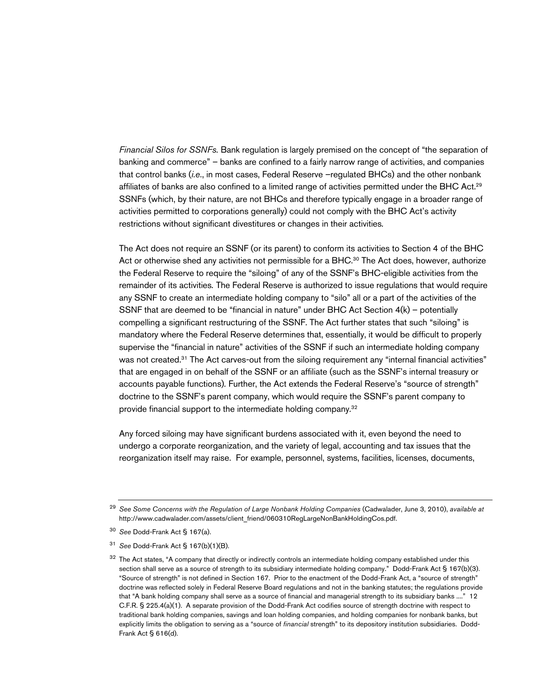*Financial Silos for SSNFs.* Bank regulation is largely premised on the concept of "the separation of banking and commerce" – banks are confined to a fairly narrow range of activities, and companies that control banks (*i.e*., in most cases, Federal Reserve –regulated BHCs) and the other nonbank affiliates of banks are also confined to a limited range of activities permitted under the BHC Act.<sup>29</sup> SSNFs (which, by their nature, are not BHCs and therefore typically engage in a broader range of activities permitted to corporations generally) could not comply with the BHC Act's activity restrictions without significant divestitures or changes in their activities*.* 

The Act does not require an SSNF (or its parent) to conform its activities to Section 4 of the BHC Act or otherwise shed any activities not permissible for a BHC.<sup>30</sup> The Act does, however, authorize the Federal Reserve to require the "siloing" of any of the SSNF's BHC-eligible activities from the remainder of its activities*.* The Federal Reserve is authorized to issue regulations that would require any SSNF to create an intermediate holding company to "silo" all or a part of the activities of the SSNF that are deemed to be "financial in nature" under BHC Act Section 4(k) – potentially compelling a significant restructuring of the SSNF*.* The Act further states that such "siloing" is mandatory where the Federal Reserve determines that, essentially, it would be difficult to properly supervise the "financial in nature" activities of the SSNF if such an intermediate holding company was not created.<sup>31</sup> The Act carves-out from the siloing requirement any "internal financial activities" that are engaged in on behalf of the SSNF or an affiliate (such as the SSNF's internal treasury or accounts payable functions)*.* Further, the Act extends the Federal Reserve's "source of strength" doctrine to the SSNF's parent company, which would require the SSNF's parent company to provide financial support to the intermediate holding company*.* 32

Any forced siloing may have significant burdens associated with it, even beyond the need to undergo a corporate reorganization, and the variety of legal, accounting and tax issues that the reorganization itself may raise. For example, personnel, systems, facilities, licenses, documents,

<sup>29</sup> *See Some Concerns with the Regulation of Large Nonbank Holding Companies* (Cadwalader, June 3, 2010), *available at* http://www.cadwalader.com/assets/client\_friend/060310RegLargeNonBankHoldingCos.pdf.

<sup>30</sup> *See* Dodd-Frank Act § 167(a).

<sup>31</sup> *See* Dodd-Frank Act § 167(b)(1)(B).

 $32$  The Act states, "A company that directly or indirectly controls an intermediate holding company established under this section shall serve as a source of strength to its subsidiary intermediate holding company." Dodd-Frank Act § 167(b)(3). "Source of strength" is not defined in Section 167. Prior to the enactment of the Dodd-Frank Act, a "source of strength" doctrine was reflected solely in Federal Reserve Board regulations and not in the banking statutes; the regulations provide that "A bank holding company shall serve as a source of financial and managerial strength to its subsidiary banks ...." 12 C.F.R. § 225.4(a)(1). A separate provision of the Dodd-Frank Act codifies source of strength doctrine with respect to traditional bank holding companies, savings and loan holding companies, and holding companies for nonbank banks, but explicitly limits the obligation to serving as a "source of *financial* strength" to its depository institution subsidiaries. Dodd-Frank Act § 616(d).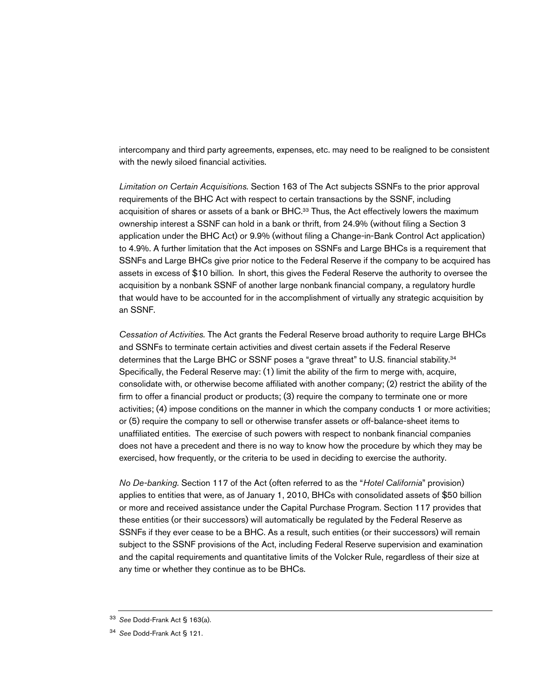intercompany and third party agreements, expenses, etc. may need to be realigned to be consistent with the newly siloed financial activities.

*Limitation on Certain Acquisitions.* Section 163 of The Act subjects SSNFs to the prior approval requirements of the BHC Act with respect to certain transactions by the SSNF, including acquisition of shares or assets of a bank or BHC.<sup>33</sup> Thus, the Act effectively lowers the maximum ownership interest a SSNF can hold in a bank or thrift, from 24.9% (without filing a Section 3 application under the BHC Act) or 9.9% (without filing a Change-in-Bank Control Act application) to 4.9%. A further limitation that the Act imposes on SSNFs and Large BHCs is a requirement that SSNFs and Large BHCs give prior notice to the Federal Reserve if the company to be acquired has assets in excess of \$10 billion. In short, this gives the Federal Reserve the authority to oversee the acquisition by a nonbank SSNF of another large nonbank financial company, a regulatory hurdle that would have to be accounted for in the accomplishment of virtually any strategic acquisition by an SSNF.

*Cessation of Activities.* The Act grants the Federal Reserve broad authority to require Large BHCs and SSNFs to terminate certain activities and divest certain assets if the Federal Reserve determines that the Large BHC or SSNF poses a "grave threat" to U.S. financial stability.<sup>34</sup> Specifically, the Federal Reserve may: (1) limit the ability of the firm to merge with, acquire, consolidate with, or otherwise become affiliated with another company; (2) restrict the ability of the firm to offer a financial product or products; (3) require the company to terminate one or more activities; (4) impose conditions on the manner in which the company conducts 1 or more activities; or (5) require the company to sell or otherwise transfer assets or off-balance-sheet items to unaffiliated entities. The exercise of such powers with respect to nonbank financial companies does not have a precedent and there is no way to know how the procedure by which they may be exercised, how frequently, or the criteria to be used in deciding to exercise the authority.

*No De-banking.* Section 117 of the Act (often referred to as the "*Hotel California*" provision) applies to entities that were, as of January 1, 2010, BHCs with consolidated assets of \$50 billion or more and received assistance under the Capital Purchase Program. Section 117 provides that these entities (or their successors) will automatically be regulated by the Federal Reserve as SSNFs if they ever cease to be a BHC. As a result, such entities (or their successors) will remain subject to the SSNF provisions of the Act, including Federal Reserve supervision and examination and the capital requirements and quantitative limits of the Volcker Rule, regardless of their size at any time or whether they continue as to be BHCs.

<sup>33</sup> *See* Dodd-Frank Act § 163(a).

<sup>34</sup> *See* Dodd-Frank Act § 121.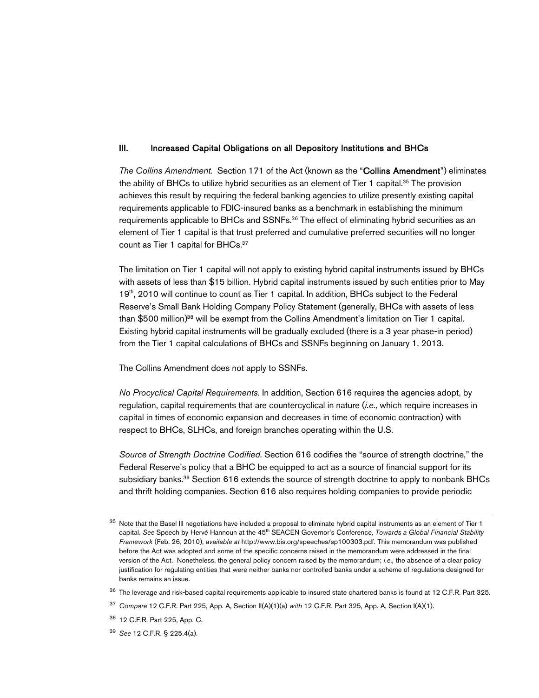#### III. Increased Capital Obligations on all Depository Institutions and BHCs

*The Collins Amendment.* Section 171 of the Act (known as the "Collins Amendment") eliminates the ability of BHCs to utilize hybrid securities as an element of Tier 1 capital.<sup>35</sup> The provision achieves this result by requiring the federal banking agencies to utilize presently existing capital requirements applicable to FDIC-insured banks as a benchmark in establishing the minimum requirements applicable to BHCs and SSNFs.<sup>36</sup> The effect of eliminating hybrid securities as an element of Tier 1 capital is that trust preferred and cumulative preferred securities will no longer count as Tier 1 capital for BHCs.<sup>37</sup>

The limitation on Tier 1 capital will not apply to existing hybrid capital instruments issued by BHCs with assets of less than \$15 billion. Hybrid capital instruments issued by such entities prior to May 19<sup>th</sup>, 2010 will continue to count as Tier 1 capital. In addition, BHCs subject to the Federal Reserve's Small Bank Holding Company Policy Statement (generally, BHCs with assets of less than \$500 million)<sup>38</sup> will be exempt from the Collins Amendment's limitation on Tier 1 capital. Existing hybrid capital instruments will be gradually excluded (there is a 3 year phase-in period) from the Tier 1 capital calculations of BHCs and SSNFs beginning on January 1, 2013.

The Collins Amendment does not apply to SSNFs.

*No Procyclical Capital Requirements.* In addition, Section 616 requires the agencies adopt, by regulation, capital requirements that are countercyclical in nature (*i.e.,* which require increases in capital in times of economic expansion and decreases in time of economic contraction) with respect to BHCs, SLHCs, and foreign branches operating within the U.S.

*Source of Strength Doctrine Codified.* Section 616 codifies the "source of strength doctrine," the Federal Reserve's policy that a BHC be equipped to act as a source of financial support for its subsidiary banks.<sup>39</sup> Section 616 extends the source of strength doctrine to apply to nonbank BHCs and thrift holding companies. Section 616 also requires holding companies to provide periodic

<sup>&</sup>lt;sup>35</sup> Note that the Basel III negotiations have included a proposal to eliminate hybrid capital instruments as an element of Tier 1 capital. *See* Speech by Hervé Hannoun at the 45<sup>th</sup> SEACEN Governor's Conference, Towards a Global Financial Stability *Framework* (Feb. 26, 2010), *available at* http://www.bis.org/speeches/sp100303.pdf. This memorandum was published before the Act was adopted and some of the specific concerns raised in the memorandum were addressed in the final version of the Act. Nonetheless, the general policy concern raised by the memorandum; *i.e.,* the absence of a clear policy justification for regulating entities that were neither banks nor controlled banks under a scheme of regulations designed for banks remains an issue.

<sup>&</sup>lt;sup>36</sup> The leverage and risk-based capital requirements applicable to insured state chartered banks is found at 12 C.F.R. Part 325.

<sup>37</sup> *Compare* 12 C.F.R. Part 225, App. A, Section II(A)(1)(a) *with* 12 C.F.R. Part 325, App. A, Section I(A)(1).

<sup>38</sup> 12 C.F.R. Part 225, App. C.

<sup>39</sup> *See* 12 C.F.R. § 225.4(a).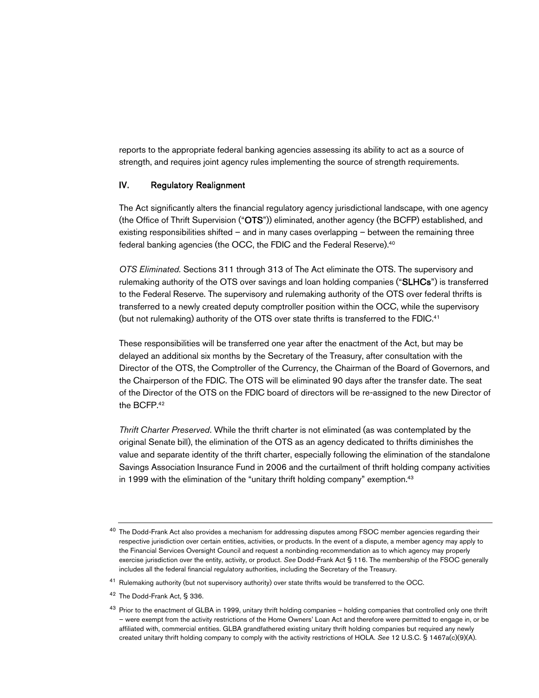reports to the appropriate federal banking agencies assessing its ability to act as a source of strength, and requires joint agency rules implementing the source of strength requirements.

#### IV. Regulatory Realignment

The Act significantly alters the financial regulatory agency jurisdictional landscape, with one agency (the Office of Thrift Supervision ("OTS")) eliminated, another agency (the BCFP) established, and existing responsibilities shifted – and in many cases overlapping – between the remaining three federal banking agencies (the OCC, the FDIC and the Federal Reserve).<sup>40</sup>

*OTS Eliminated.* Sections 311 through 313 of The Act eliminate the OTS. The supervisory and rulemaking authority of the OTS over savings and loan holding companies ("SLHCs") is transferred to the Federal Reserve. The supervisory and rulemaking authority of the OTS over federal thrifts is transferred to a newly created deputy comptroller position within the OCC, while the supervisory (but not rulemaking) authority of the OTS over state thrifts is transferred to the FDIC.<sup>41</sup>

These responsibilities will be transferred one year after the enactment of the Act, but may be delayed an additional six months by the Secretary of the Treasury, after consultation with the Director of the OTS, the Comptroller of the Currency, the Chairman of the Board of Governors, and the Chairperson of the FDIC. The OTS will be eliminated 90 days after the transfer date. The seat of the Director of the OTS on the FDIC board of directors will be re-assigned to the new Director of the BCFP.<sup>42</sup>

*Thrift Charter Preserved*. While the thrift charter is not eliminated (as was contemplated by the original Senate bill), the elimination of the OTS as an agency dedicated to thrifts diminishes the value and separate identity of the thrift charter, especially following the elimination of the standalone Savings Association Insurance Fund in 2006 and the curtailment of thrift holding company activities in 1999 with the elimination of the "unitary thrift holding company" exemption.<sup>43</sup>

 $40$  The Dodd-Frank Act also provides a mechanism for addressing disputes among FSOC member agencies regarding their respective jurisdiction over certain entities, activities, or products. In the event of a dispute, a member agency may apply to the Financial Services Oversight Council and request a nonbinding recommendation as to which agency may properly exercise jurisdiction over the entity, activity, or product. *See* Dodd-Frank Act § 116. The membership of the FSOC generally includes all the federal financial regulatory authorities, including the Secretary of the Treasury.

<sup>&</sup>lt;sup>41</sup> Rulemaking authority (but not supervisory authority) over state thrifts would be transferred to the OCC.

<sup>42</sup> The Dodd-Frank Act, § 336.

<sup>&</sup>lt;sup>43</sup> Prior to the enactment of GLBA in 1999, unitary thrift holding companies - holding companies that controlled only one thrift – were exempt from the activity restrictions of the Home Owners' Loan Act and therefore were permitted to engage in, or be affiliated with, commercial entities. GLBA grandfathered existing unitary thrift holding companies but required any newly created unitary thrift holding company to comply with the activity restrictions of HOLA. *See* 12 U.S.C. § 1467a(c)(9)(A).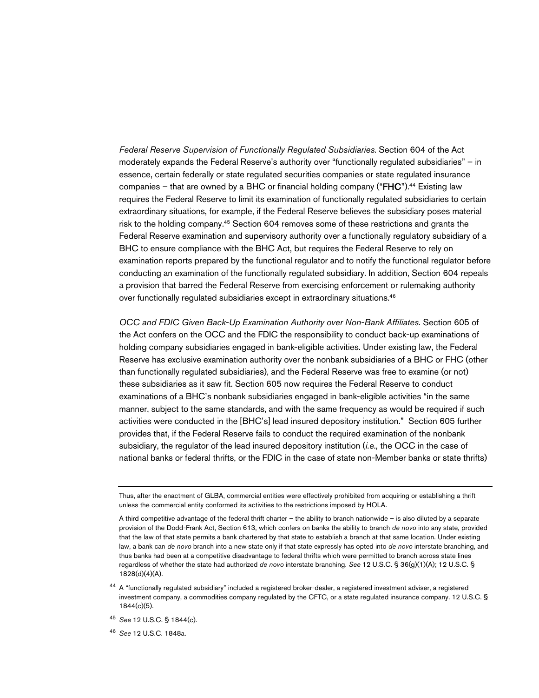*Federal Reserve Supervision of Functionally Regulated Subsidiaries*. Section 604 of the Act moderately expands the Federal Reserve's authority over "functionally regulated subsidiaries" – in essence, certain federally or state regulated securities companies or state regulated insurance companies – that are owned by a BHC or financial holding company (" $F$ HC").<sup>44</sup> Existing law requires the Federal Reserve to limit its examination of functionally regulated subsidiaries to certain extraordinary situations, for example, if the Federal Reserve believes the subsidiary poses material risk to the holding company.<sup>45</sup> Section 604 removes some of these restrictions and grants the Federal Reserve examination and supervisory authority over a functionally regulatory subsidiary of a BHC to ensure compliance with the BHC Act, but requires the Federal Reserve to rely on examination reports prepared by the functional regulator and to notify the functional regulator before conducting an examination of the functionally regulated subsidiary. In addition, Section 604 repeals a provision that barred the Federal Reserve from exercising enforcement or rulemaking authority over functionally regulated subsidiaries except in extraordinary situations.<sup>46</sup>

*OCC and FDIC Given Back-Up Examination Authority over Non-Bank Affiliates.* Section 605 of the Act confers on the OCC and the FDIC the responsibility to conduct back-up examinations of holding company subsidiaries engaged in bank-eligible activities. Under existing law, the Federal Reserve has exclusive examination authority over the nonbank subsidiaries of a BHC or FHC (other than functionally regulated subsidiaries), and the Federal Reserve was free to examine (or not) these subsidiaries as it saw fit. Section 605 now requires the Federal Reserve to conduct examinations of a BHC's nonbank subsidiaries engaged in bank-eligible activities "in the same manner, subject to the same standards, and with the same frequency as would be required if such activities were conducted in the [BHC's] lead insured depository institution." Section 605 further provides that, if the Federal Reserve fails to conduct the required examination of the nonbank subsidiary, the regulator of the lead insured depository institution (*i.e.,* the OCC in the case of national banks or federal thrifts, or the FDIC in the case of state non-Member banks or state thrifts)

<sup>46</sup> *See* 12 U.S.C. 1848a.

Thus, after the enactment of GLBA, commercial entities were effectively prohibited from acquiring or establishing a thrift unless the commercial entity conformed its activities to the restrictions imposed by HOLA.

A third competitive advantage of the federal thrift charter – the ability to branch nationwide – is also diluted by a separate provision of the Dodd-Frank Act, Section 613, which confers on banks the ability to branch *de novo* into any state, provided that the law of that state permits a bank chartered by that state to establish a branch at that same location. Under existing law, a bank can *de novo* branch into a new state only if that state expressly has opted into *de novo* interstate branching, and thus banks had been at a competitive disadvantage to federal thrifts which were permitted to branch across state lines regardless of whether the state had authorized *de novo* interstate branching. *See* 12 U.S.C. § 36(g)(1)(A); 12 U.S.C. § 1828(d)(4)(A).

<sup>&</sup>lt;sup>44</sup> A "functionally regulated subsidiary" included a registered broker-dealer, a registered investment adviser, a registered investment company, a commodities company regulated by the CFTC, or a state regulated insurance company. 12 U.S.C. § 1844(c)(5).

<sup>45</sup> *See* 12 U.S.C. § 1844(c).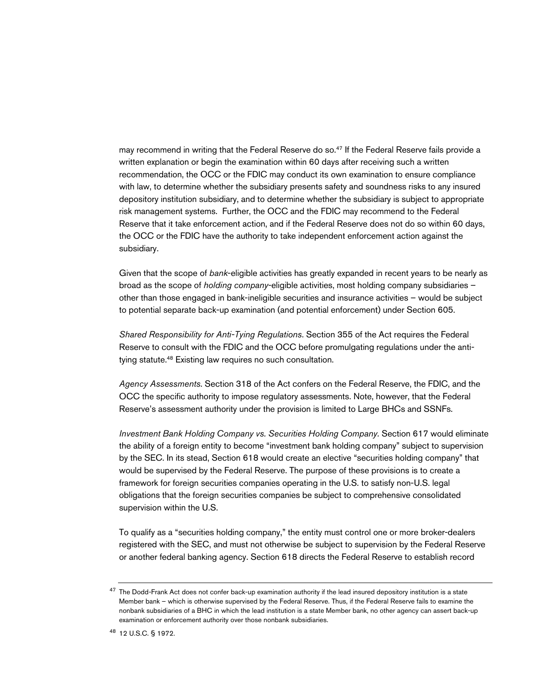may recommend in writing that the Federal Reserve do so.<sup>47</sup> If the Federal Reserve fails provide a written explanation or begin the examination within 60 days after receiving such a written recommendation, the OCC or the FDIC may conduct its own examination to ensure compliance with law, to determine whether the subsidiary presents safety and soundness risks to any insured depository institution subsidiary, and to determine whether the subsidiary is subject to appropriate risk management systems. Further, the OCC and the FDIC may recommend to the Federal Reserve that it take enforcement action, and if the Federal Reserve does not do so within 60 days, the OCC or the FDIC have the authority to take independent enforcement action against the subsidiary.

Given that the scope of *bank*-eligible activities has greatly expanded in recent years to be nearly as broad as the scope of *holding company*-eligible activities, most holding company subsidiaries – other than those engaged in bank-ineligible securities and insurance activities – would be subject to potential separate back-up examination (and potential enforcement) under Section 605.

*Shared Responsibility for Anti-Tying Regulations*. Section 355 of the Act requires the Federal Reserve to consult with the FDIC and the OCC before promulgating regulations under the antitying statute.<sup>48</sup> Existing law requires no such consultation.

*Agency Assessments*. Section 318 of the Act confers on the Federal Reserve, the FDIC, and the OCC the specific authority to impose regulatory assessments. Note, however, that the Federal Reserve's assessment authority under the provision is limited to Large BHCs and SSNFs.

*Investment Bank Holding Company vs. Securities Holding Company. Section 617 would eliminate* the ability of a foreign entity to become "investment bank holding company" subject to supervision by the SEC. In its stead, Section 618 would create an elective "securities holding company" that would be supervised by the Federal Reserve. The purpose of these provisions is to create a framework for foreign securities companies operating in the U.S. to satisfy non-U.S. legal obligations that the foreign securities companies be subject to comprehensive consolidated supervision within the U.S.

To qualify as a "securities holding company," the entity must control one or more broker-dealers registered with the SEC, and must not otherwise be subject to supervision by the Federal Reserve or another federal banking agency. Section 618 directs the Federal Reserve to establish record

 $47$  The Dodd-Frank Act does not confer back-up examination authority if the lead insured depository institution is a state Member bank – which is otherwise supervised by the Federal Reserve. Thus, if the Federal Reserve fails to examine the nonbank subsidiaries of a BHC in which the lead institution is a state Member bank, no other agency can assert back-up examination or enforcement authority over those nonbank subsidiaries.

<sup>48</sup> 12 U.S.C. § 1972.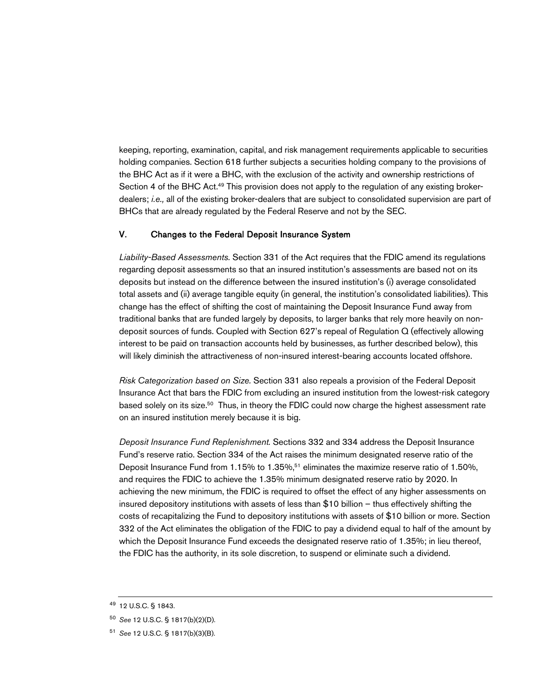keeping, reporting, examination, capital, and risk management requirements applicable to securities holding companies. Section 618 further subjects a securities holding company to the provisions of the BHC Act as if it were a BHC, with the exclusion of the activity and ownership restrictions of Section 4 of the BHC Act.<sup>49</sup> This provision does not apply to the regulation of any existing brokerdealers; *i.e.,* all of the existing broker-dealers that are subject to consolidated supervision are part of BHCs that are already regulated by the Federal Reserve and not by the SEC.

## V. Changes to the Federal Deposit Insurance System

*Liability-Based Assessments.* Section 331 of the Act requires that the FDIC amend its regulations regarding deposit assessments so that an insured institution's assessments are based not on its deposits but instead on the difference between the insured institution's (i) average consolidated total assets and (ii) average tangible equity (in general, the institution's consolidated liabilities). This change has the effect of shifting the cost of maintaining the Deposit Insurance Fund away from traditional banks that are funded largely by deposits, to larger banks that rely more heavily on nondeposit sources of funds. Coupled with Section 627's repeal of Regulation Q (effectively allowing interest to be paid on transaction accounts held by businesses, as further described below), this will likely diminish the attractiveness of non-insured interest-bearing accounts located offshore.

*Risk Categorization based on Size.* Section 331 also repeals a provision of the Federal Deposit Insurance Act that bars the FDIC from excluding an insured institution from the lowest-risk category based solely on its size.<sup>50</sup> Thus, in theory the FDIC could now charge the highest assessment rate on an insured institution merely because it is big.

*Deposit Insurance Fund Replenishment.* Sections 332 and 334 address the Deposit Insurance Fund's reserve ratio. Section 334 of the Act raises the minimum designated reserve ratio of the Deposit Insurance Fund from 1.15% to 1.35%,<sup>51</sup> eliminates the maximize reserve ratio of 1.50%, and requires the FDIC to achieve the 1.35% minimum designated reserve ratio by 2020. In achieving the new minimum, the FDIC is required to offset the effect of any higher assessments on insured depository institutions with assets of less than \$10 billion – thus effectively shifting the costs of recapitalizing the Fund to depository institutions with assets of \$10 billion or more. Section 332 of the Act eliminates the obligation of the FDIC to pay a dividend equal to half of the amount by which the Deposit Insurance Fund exceeds the designated reserve ratio of 1.35%; in lieu thereof, the FDIC has the authority, in its sole discretion, to suspend or eliminate such a dividend.

<sup>49</sup> 12 U.S.C. § 1843.

<sup>50</sup> *See* 12 U.S.C. § 1817(b)(2)(D).

<sup>51</sup> *See* 12 U.S.C. § 1817(b)(3)(B).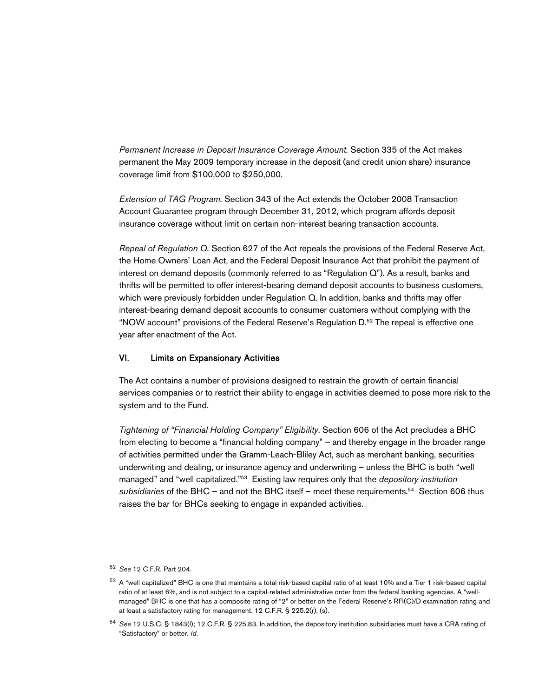*Permanent Increase in Deposit Insurance Coverage Amount.* Section 335 of the Act makes permanent the May 2009 temporary increase in the deposit (and credit union share) insurance coverage limit from \$100,000 to \$250,000.

*Extension of TAG Program.* Section 343 of the Act extends the October 2008 Transaction Account Guarantee program through December 31, 2012, which program affords deposit insurance coverage without limit on certain non-interest bearing transaction accounts.

*Repeal of Regulation Q.* Section 627 of the Act repeals the provisions of the Federal Reserve Act, the Home Owners' Loan Act, and the Federal Deposit Insurance Act that prohibit the payment of interest on demand deposits (commonly referred to as "Regulation Q"). As a result, banks and thrifts will be permitted to offer interest-bearing demand deposit accounts to business customers, which were previously forbidden under Regulation Q. In addition, banks and thrifts may offer interest-bearing demand deposit accounts to consumer customers without complying with the "NOW account" provisions of the Federal Reserve's Regulation D.<sup>52</sup> The repeal is effective one year after enactment of the Act.

#### VI. Limits on Expansionary Activities

The Act contains a number of provisions designed to restrain the growth of certain financial services companies or to restrict their ability to engage in activities deemed to pose more risk to the system and to the Fund.

*Tightening of "Financial Holding Company" Eligibility*. Section 606 of the Act precludes a BHC from electing to become a "financial holding company" – and thereby engage in the broader range of activities permitted under the Gramm-Leach-Bliley Act, such as merchant banking, securities underwriting and dealing, or insurance agency and underwriting – unless the BHC is both "well managed" and "well capitalized."<sup>53</sup> Existing law requires only that the *depository institution subsidiaries* of the BHC – and not the BHC itself – meet these requirements.<sup>54</sup> Section 606 thus raises the bar for BHCs seeking to engage in expanded activities.

<sup>52</sup> *See* 12 C.F.R. Part 204.

<sup>&</sup>lt;sup>53</sup> A "well capitalized" BHC is one that maintains a total risk-based capital ratio of at least 10% and a Tier 1 risk-based capital ratio of at least 6%, and is not subject to a capital-related administrative order from the federal banking agencies. A "wellmanaged" BHC is one that has a composite rating of "2" or better on the Federal Reserve's RFI(C)/D examination rating and at least a satisfactory rating for management. 12 C.F.R. § 225.2(r), (s).

<sup>54</sup> *See* 12 U.S.C. § 1843(l); 12 C.F.R. § 225.83. In addition, the depository institution subsidiaries must have a CRA rating of "Satisfactory" or better. *Id*.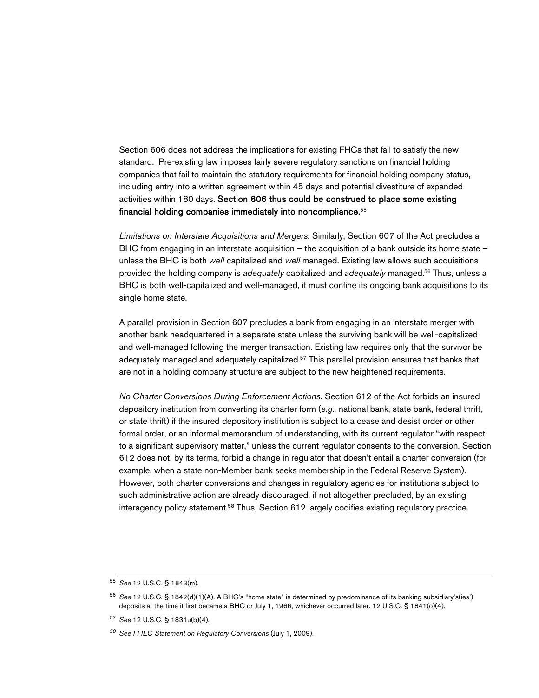Section 606 does not address the implications for existing FHCs that fail to satisfy the new standard. Pre-existing law imposes fairly severe regulatory sanctions on financial holding companies that fail to maintain the statutory requirements for financial holding company status, including entry into a written agreement within 45 days and potential divestiture of expanded activities within 180 days. Section 606 thus could be construed to place some existing financial holding companies immediately into noncompliance.<sup>55</sup>

*Limitations on Interstate Acquisitions and Mergers.* Similarly, Section 607 of the Act precludes a BHC from engaging in an interstate acquisition – the acquisition of a bank outside its home state – unless the BHC is both *well* capitalized and *well* managed. Existing law allows such acquisitions provided the holding company is *adequately* capitalized and *adequately* managed.<sup>56</sup> Thus, unless a BHC is both well-capitalized and well-managed, it must confine its ongoing bank acquisitions to its single home state.

A parallel provision in Section 607 precludes a bank from engaging in an interstate merger with another bank headquartered in a separate state unless the surviving bank will be well-capitalized and well-managed following the merger transaction. Existing law requires only that the survivor be adequately managed and adequately capitalized.<sup>57</sup> This parallel provision ensures that banks that are not in a holding company structure are subject to the new heightened requirements.

*No Charter Conversions During Enforcement Actions.* Section 612 of the Act forbids an insured depository institution from converting its charter form (*e.g.,* national bank, state bank, federal thrift, or state thrift) if the insured depository institution is subject to a cease and desist order or other formal order, or an informal memorandum of understanding, with its current regulator "with respect to a significant supervisory matter," unless the current regulator consents to the conversion. Section 612 does not, by its terms, forbid a change in regulator that doesn't entail a charter conversion (for example, when a state non-Member bank seeks membership in the Federal Reserve System). However, both charter conversions and changes in regulatory agencies for institutions subject to such administrative action are already discouraged, if not altogether precluded, by an existing interagency policy statement.<sup>58</sup> Thus, Section 612 largely codifies existing regulatory practice.

<sup>55</sup> *See* 12 U.S.C. § 1843(m).

<sup>56</sup> *See* 12 U.S.C. § 1842(d)(1)(A). A BHC's "home state" is determined by predominance of its banking subsidiary's(ies') deposits at the time it first became a BHC or July 1, 1966, whichever occurred later. 12 U.S.C. § 1841(o)(4).

<sup>57</sup> *See* 12 U.S.C. § 1831u(b)(4).

*<sup>58</sup> See FFIEC Statement on Regulatory Conversions* (July 1, 2009).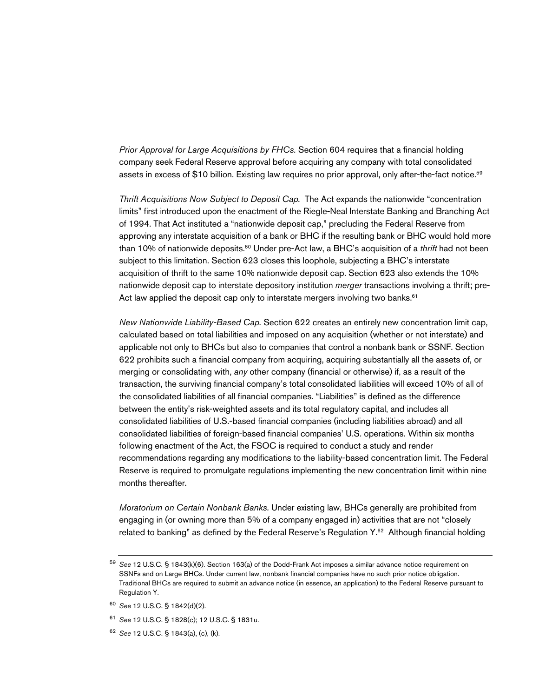*Prior Approval for Large Acquisitions by FHCs.* Section 604 requires that a financial holding company seek Federal Reserve approval before acquiring any company with total consolidated assets in excess of \$10 billion. Existing law requires no prior approval, only after-the-fact notice.<sup>59</sup>

*Thrift Acquisitions Now Subject to Deposit Cap.* The Act expands the nationwide "concentration limits" first introduced upon the enactment of the Riegle-Neal Interstate Banking and Branching Act of 1994. That Act instituted a "nationwide deposit cap," precluding the Federal Reserve from approving any interstate acquisition of a bank or BHC if the resulting bank or BHC would hold more than 10% of nationwide deposits.<sup>60</sup> Under pre-Act law, a BHC's acquisition of a *thrift* had not been subject to this limitation. Section 623 closes this loophole, subjecting a BHC's interstate acquisition of thrift to the same 10% nationwide deposit cap. Section 623 also extends the 10% nationwide deposit cap to interstate depository institution *merger* transactions involving a thrift; pre-Act law applied the deposit cap only to interstate mergers involving two banks.<sup>61</sup>

*New Nationwide Liability-Based Cap.* Section 622 creates an entirely new concentration limit cap, calculated based on total liabilities and imposed on any acquisition (whether or not interstate) and applicable not only to BHCs but also to companies that control a nonbank bank or SSNF. Section 622 prohibits such a financial company from acquiring, acquiring substantially all the assets of, or merging or consolidating with, *any* other company (financial or otherwise) if, as a result of the transaction, the surviving financial company's total consolidated liabilities will exceed 10% of all of the consolidated liabilities of all financial companies. "Liabilities" is defined as the difference between the entity's risk-weighted assets and its total regulatory capital, and includes all consolidated liabilities of U.S.-based financial companies (including liabilities abroad) and all consolidated liabilities of foreign-based financial companies' U.S. operations. Within six months following enactment of the Act, the FSOC is required to conduct a study and render recommendations regarding any modifications to the liability-based concentration limit. The Federal Reserve is required to promulgate regulations implementing the new concentration limit within nine months thereafter.

*Moratorium on Certain Nonbank Banks.* Under existing law, BHCs generally are prohibited from engaging in (or owning more than 5% of a company engaged in) activities that are not "closely related to banking" as defined by the Federal Reserve's Regulation Y.<sup>62</sup> Although financial holding

<sup>59</sup> *See* 12 U.S.C. § 1843(k)(6). Section 163(a) of the Dodd-Frank Act imposes a similar advance notice requirement on SSNFs and on Large BHCs. Under current law, nonbank financial companies have no such prior notice obligation. Traditional BHCs are required to submit an advance notice (in essence, an application) to the Federal Reserve pursuant to Regulation Y.

<sup>60</sup> *See* 12 U.S.C. § 1842(d)(2).

<sup>61</sup> *See* 12 U.S.C. § 1828(c); 12 U.S.C. § 1831u.

<sup>62</sup> *See* 12 U.S.C. § 1843(a), (c), (k).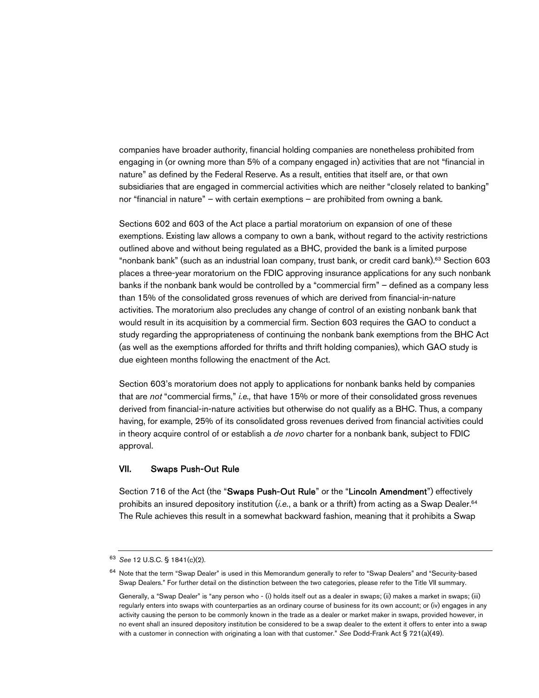companies have broader authority, financial holding companies are nonetheless prohibited from engaging in (or owning more than 5% of a company engaged in) activities that are not "financial in nature" as defined by the Federal Reserve. As a result, entities that itself are, or that own subsidiaries that are engaged in commercial activities which are neither "closely related to banking" nor "financial in nature" – with certain exemptions – are prohibited from owning a bank.

Sections 602 and 603 of the Act place a partial moratorium on expansion of one of these exemptions. Existing law allows a company to own a bank, without regard to the activity restrictions outlined above and without being regulated as a BHC, provided the bank is a limited purpose "nonbank bank" (such as an industrial loan company, trust bank, or credit card bank).<sup>63</sup> Section 603 places a three-year moratorium on the FDIC approving insurance applications for any such nonbank banks if the nonbank bank would be controlled by a "commercial firm" – defined as a company less than 15% of the consolidated gross revenues of which are derived from financial-in-nature activities. The moratorium also precludes any change of control of an existing nonbank bank that would result in its acquisition by a commercial firm. Section 603 requires the GAO to conduct a study regarding the appropriateness of continuing the nonbank bank exemptions from the BHC Act (as well as the exemptions afforded for thrifts and thrift holding companies), which GAO study is due eighteen months following the enactment of the Act.

Section 603's moratorium does not apply to applications for nonbank banks held by companies that are *not* "commercial firms," *i.e.,* that have 15% or more of their consolidated gross revenues derived from financial-in-nature activities but otherwise do not qualify as a BHC. Thus, a company having, for example, 25% of its consolidated gross revenues derived from financial activities could in theory acquire control of or establish a *de novo* charter for a nonbank bank, subject to FDIC approval.

#### VII. Swaps Push-Out Rule

Section 716 of the Act (the "Swaps Push-Out Rule" or the "Lincoln Amendment") effectively prohibits an insured depository institution (*i.e.*, a bank or a thrift) from acting as a Swap Dealer.<sup>64</sup> The Rule achieves this result in a somewhat backward fashion, meaning that it prohibits a Swap

<sup>63</sup> *See* 12 U.S.C. § 1841(c)(2).

<sup>&</sup>lt;sup>64</sup> Note that the term "Swap Dealer" is used in this Memorandum generally to refer to "Swap Dealers" and "Security-based Swap Dealers." For further detail on the distinction between the two categories, please refer to the Title VII summary.

Generally, a "Swap Dealer" is "any person who - (i) holds itself out as a dealer in swaps; (ii) makes a market in swaps; (iii) regularly enters into swaps with counterparties as an ordinary course of business for its own account; or (iv) engages in any activity causing the person to be commonly known in the trade as a dealer or market maker in swaps, provided however, in no event shall an insured depository institution be considered to be a swap dealer to the extent it offers to enter into a swap with a customer in connection with originating a loan with that customer." *See* Dodd-Frank Act § 721(a)(49).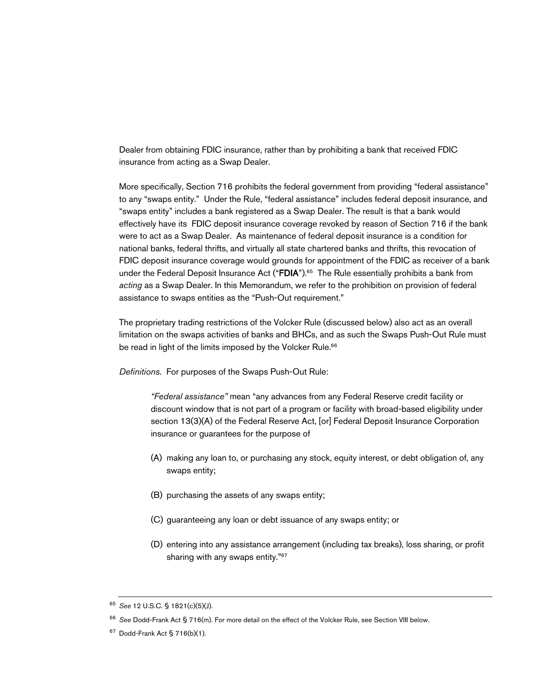Dealer from obtaining FDIC insurance, rather than by prohibiting a bank that received FDIC insurance from acting as a Swap Dealer.

More specifically, Section 716 prohibits the federal government from providing "federal assistance" to any "swaps entity." Under the Rule, "federal assistance" includes federal deposit insurance, and "swaps entity" includes a bank registered as a Swap Dealer. The result is that a bank would effectively have its FDIC deposit insurance coverage revoked by reason of Section 716 if the bank were to act as a Swap Dealer. As maintenance of federal deposit insurance is a condition for national banks, federal thrifts, and virtually all state chartered banks and thrifts, this revocation of FDIC deposit insurance coverage would grounds for appointment of the FDIC as receiver of a bank under the Federal Deposit Insurance Act ("FDIA").<sup>65</sup> The Rule essentially prohibits a bank from *acting* as a Swap Dealer. In this Memorandum, we refer to the prohibition on provision of federal assistance to swaps entities as the "Push-Out requirement."

The proprietary trading restrictions of the Volcker Rule (discussed below) also act as an overall limitation on the swaps activities of banks and BHCs, and as such the Swaps Push-Out Rule must be read in light of the limits imposed by the Volcker Rule.<sup>66</sup>

*Definitions.* For purposes of the Swaps Push-Out Rule:

*"Federal assistance"* mean "any advances from any Federal Reserve credit facility or discount window that is not part of a program or facility with broad-based eligibility under section 13(3)(A) of the Federal Reserve Act, [or] Federal Deposit Insurance Corporation insurance or guarantees for the purpose of

- (A) making any loan to, or purchasing any stock, equity interest, or debt obligation of, any swaps entity;
- (B) purchasing the assets of any swaps entity;
- (C) guaranteeing any loan or debt issuance of any swaps entity; or
- (D) entering into any assistance arrangement (including tax breaks), loss sharing, or profit sharing with any swaps entity."<sup>67</sup>

<sup>65</sup> *See* 12 U.S.C. § 1821(c)(5)(J).

<sup>66</sup> *See* Dodd-Frank Act § 716(m). For more detail on the effect of the Volcker Rule, see Section VIII below.

 $67$  Dodd-Frank Act § 716(b)(1).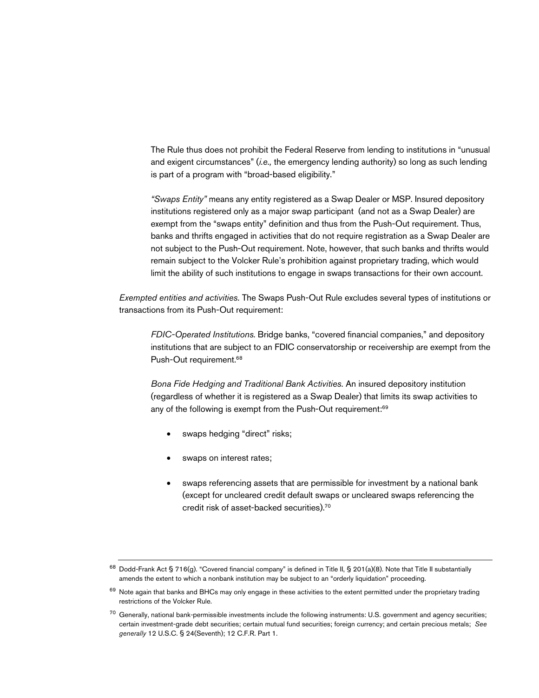The Rule thus does not prohibit the Federal Reserve from lending to institutions in "unusual and exigent circumstances" (*i.e.,* the emergency lending authority) so long as such lending is part of a program with "broad-based eligibility."

*"Swaps Entity"* means any entity registered as a Swap Dealer or MSP. Insured depository institutions registered only as a major swap participant (and not as a Swap Dealer) are exempt from the "swaps entity" definition and thus from the Push-Out requirement. Thus, banks and thrifts engaged in activities that do not require registration as a Swap Dealer are not subject to the Push-Out requirement. Note, however, that such banks and thrifts would remain subject to the Volcker Rule's prohibition against proprietary trading, which would limit the ability of such institutions to engage in swaps transactions for their own account.

*Exempted entities and activities.* The Swaps Push-Out Rule excludes several types of institutions or transactions from its Push-Out requirement:

*FDIC-Operated Institutions*. Bridge banks, "covered financial companies," and depository institutions that are subject to an FDIC conservatorship or receivership are exempt from the Push-Out requirement.<sup>68</sup>

*Bona Fide Hedging and Traditional Bank Activities.* An insured depository institution (regardless of whether it is registered as a Swap Dealer) that limits its swap activities to any of the following is exempt from the Push-Out requirement:<sup>69</sup>

- swaps hedging "direct" risks;
- swaps on interest rates;
- swaps referencing assets that are permissible for investment by a national bank (except for uncleared credit default swaps or uncleared swaps referencing the credit risk of asset-backed securities).<sup>70</sup>

 $68$  Dodd-Frank Act § 716(g). "Covered financial company" is defined in Title II, § 201(a)(8). Note that Title II substantially amends the extent to which a nonbank institution may be subject to an "orderly liquidation" proceeding.

<sup>69</sup> Note again that banks and BHCs may only engage in these activities to the extent permitted under the proprietary trading restrictions of the Volcker Rule.

 $70$  Generally, national bank-permissible investments include the following instruments: U.S. government and agency securities; certain investment-grade debt securities; certain mutual fund securities; foreign currency; and certain precious metals; *See generally* 12 U.S.C. § 24(Seventh); 12 C.F.R. Part 1.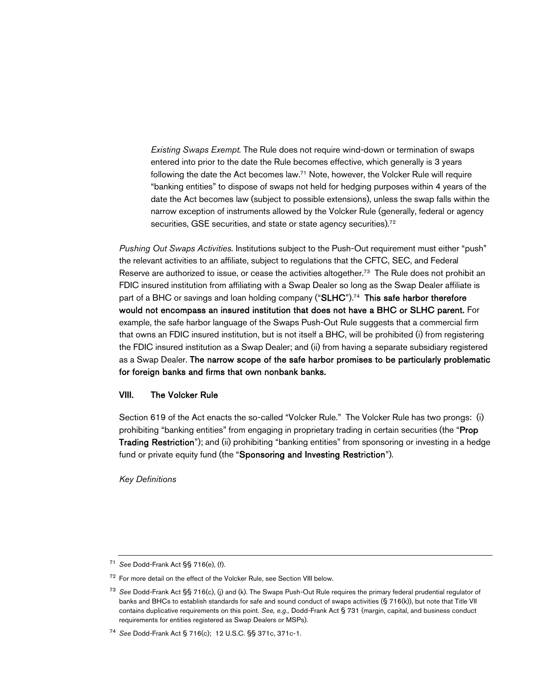*Existing Swaps Exempt.* The Rule does not require wind-down or termination of swaps entered into prior to the date the Rule becomes effective, which generally is 3 years following the date the Act becomes law.<sup>71</sup> Note, however, the Volcker Rule will require "banking entities" to dispose of swaps not held for hedging purposes within 4 years of the date the Act becomes law (subject to possible extensions), unless the swap falls within the narrow exception of instruments allowed by the Volcker Rule (generally, federal or agency securities, GSE securities, and state or state agency securities).<sup>72</sup>

*Pushing Out Swaps Activities.* Institutions subject to the Push-Out requirement must either "push" the relevant activities to an affiliate, subject to regulations that the CFTC, SEC, and Federal Reserve are authorized to issue, or cease the activities altogether.<sup>73</sup> The Rule does not prohibit an FDIC insured institution from affiliating with a Swap Dealer so long as the Swap Dealer affiliate is part of a BHC or savings and loan holding company ("SLHC").<sup>74</sup> This safe harbor therefore would not encompass an insured institution that does not have a BHC or SLHC parent. For example, the safe harbor language of the Swaps Push-Out Rule suggests that a commercial firm that owns an FDIC insured institution, but is not itself a BHC, will be prohibited (i) from registering the FDIC insured institution as a Swap Dealer; and (ii) from having a separate subsidiary registered as a Swap Dealer. The narrow scope of the safe harbor promises to be particularly problematic for foreign banks and firms that own nonbank banks.

#### VIII. The Volcker Rule

Section 619 of the Act enacts the so-called "Volcker Rule." The Volcker Rule has two prongs: (i) prohibiting "banking entities" from engaging in proprietary trading in certain securities (the "Prop Trading Restriction"); and (ii) prohibiting "banking entities" from sponsoring or investing in a hedge fund or private equity fund (the "Sponsoring and Investing Restriction").

*Key Definitions*

<sup>71</sup> *See* Dodd-Frank Act §§ 716(e), (f).

<sup>72</sup> For more detail on the effect of the Volcker Rule, see Section VIII below.

<sup>73</sup> *See* Dodd-Frank Act §§ 716(c), (j) and (k). The Swaps Push-Out Rule requires the primary federal prudential regulator of banks and BHCs to establish standards for safe and sound conduct of swaps activities (§ 716(k)), but note that Title VII contains duplicative requirements on this point. *See, e.g.,* Dodd-Frank Act § 731 (margin, capital, and business conduct requirements for entities registered as Swap Dealers or MSPs).

<sup>74</sup> *See* Dodd-Frank Act § 716(c); 12 U.S.C. §§ 371c, 371c-1.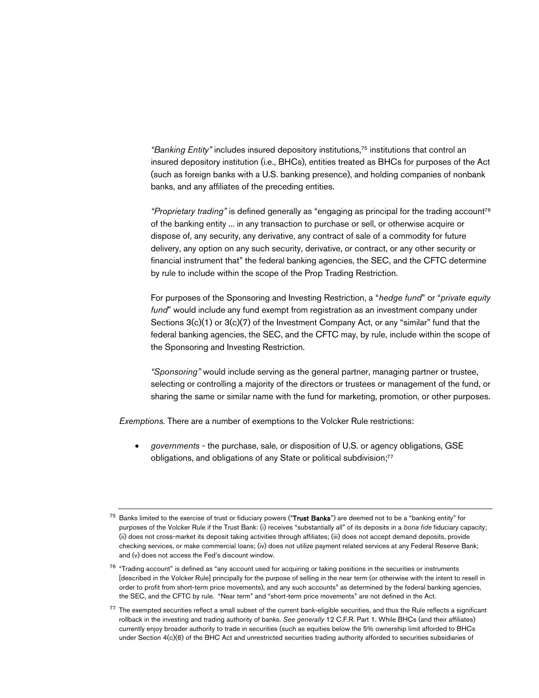*"Banking Entity"* includes insured depository institutions,<sup>75</sup> institutions that control an insured depository institution (i.e., BHCs), entities treated as BHCs for purposes of the Act (such as foreign banks with a U.S. banking presence), and holding companies of nonbank banks, and any affiliates of the preceding entities.

*"Proprietary trading"* is defined generally as "engaging as principal for the trading account<sup>76</sup> of the banking entity ... in any transaction to purchase or sell, or otherwise acquire or dispose of, any security, any derivative, any contract of sale of a commodity for future delivery, any option on any such security, derivative, or contract, or any other security or financial instrument that" the federal banking agencies, the SEC, and the CFTC determine by rule to include within the scope of the Prop Trading Restriction.

For purposes of the Sponsoring and Investing Restriction, a "*hedge fund*" or "*private equity fund*" would include any fund exempt from registration as an investment company under Sections  $3(c)(1)$  or  $3(c)(7)$  of the Investment Company Act, or any "similar" fund that the federal banking agencies, the SEC, and the CFTC may, by rule, include within the scope of the Sponsoring and Investing Restriction.

*"Sponsoring"* would include serving as the general partner, managing partner or trustee, selecting or controlling a majority of the directors or trustees or management of the fund, or sharing the same or similar name with the fund for marketing, promotion, or other purposes.

*Exemptions.* There are a number of exemptions to the Volcker Rule restrictions:

 *governments* - the purchase, sale, or disposition of U.S. or agency obligations, GSE obligations, and obligations of any State or political subdivision;<sup>77</sup>

Banks limited to the exercise of trust or fiduciary powers ("Trust Banks") are deemed not to be a "banking entity" for purposes of the Volcker Rule if the Trust Bank: (i) receives "substantially all" of its deposits in a *bona fide* fiduciary capacity; (ii) does not cross-market its deposit taking activities through affiliates; (iii) does not accept demand deposits, provide checking services, or make commercial loans; (iv) does not utilize payment related services at any Federal Reserve Bank; and (v) does not access the Fed's discount window.

<sup>&</sup>lt;sup>76</sup> "Trading account" is defined as "any account used for acquiring or taking positions in the securities or instruments [described in the Volcker Rule] principally for the purpose of selling in the near term (or otherwise with the intent to resell in order to profit from short-term price movements), and any such accounts" as determined by the federal banking agencies, the SEC, and the CFTC by rule. "Near term" and "short-term price movements" are not defined in the Act.

 $77$  The exempted securities reflect a small subset of the current bank-eligible securities, and thus the Rule reflects a significant rollback in the investing and trading authority of banks. *See generally* 12 C.F.R. Part 1. While BHCs (and their affiliates) currently enjoy broader authority to trade in securities (such as equities below the 5% ownership limit afforded to BHCs under Section 4(c)(6) of the BHC Act and unrestricted securities trading authority afforded to securities subsidiaries of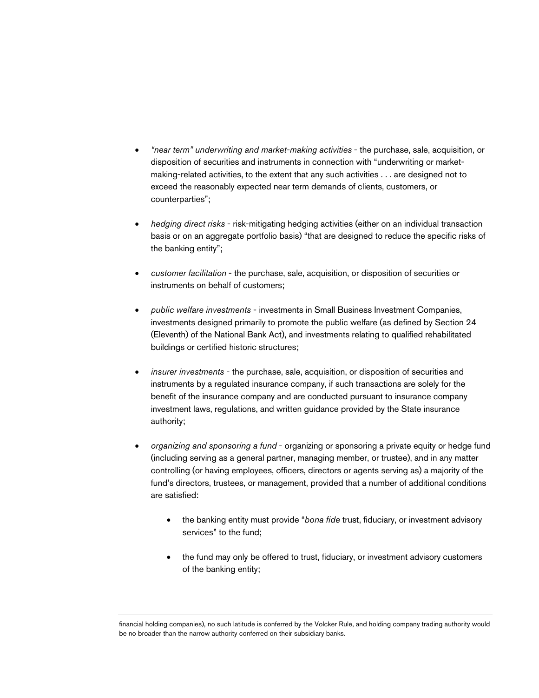- *"near term" underwriting and market-making activities* the purchase, sale, acquisition, or disposition of securities and instruments in connection with "underwriting or marketmaking-related activities, to the extent that any such activities . . . are designed not to exceed the reasonably expected near term demands of clients, customers, or counterparties";
- *hedging direct risks* risk-mitigating hedging activities (either on an individual transaction basis or on an aggregate portfolio basis) "that are designed to reduce the specific risks of the banking entity";
- *customer facilitation* the purchase, sale, acquisition, or disposition of securities or instruments on behalf of customers;
- *public welfare investments* investments in Small Business Investment Companies, investments designed primarily to promote the public welfare (as defined by Section 24 (Eleventh) of the National Bank Act), and investments relating to qualified rehabilitated buildings or certified historic structures;
- *insurer investments* the purchase, sale, acquisition, or disposition of securities and instruments by a regulated insurance company, if such transactions are solely for the benefit of the insurance company and are conducted pursuant to insurance company investment laws, regulations, and written guidance provided by the State insurance authority;
- *organizing and sponsoring a fund* organizing or sponsoring a private equity or hedge fund (including serving as a general partner, managing member, or trustee), and in any matter controlling (or having employees, officers, directors or agents serving as) a majority of the fund's directors, trustees, or management, provided that a number of additional conditions are satisfied:
	- the banking entity must provide "*bona fide* trust, fiduciary, or investment advisory services" to the fund;
	- the fund may only be offered to trust, fiduciary, or investment advisory customers of the banking entity;

financial holding companies), no such latitude is conferred by the Volcker Rule, and holding company trading authority would be no broader than the narrow authority conferred on their subsidiary banks.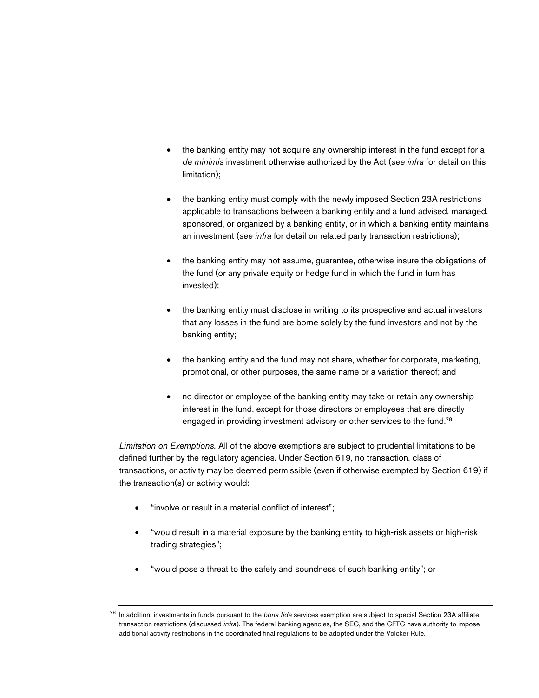- the banking entity may not acquire any ownership interest in the fund except for a *de minimis* investment otherwise authorized by the Act (*see infra* for detail on this limitation);
- the banking entity must comply with the newly imposed Section 23A restrictions applicable to transactions between a banking entity and a fund advised, managed, sponsored, or organized by a banking entity, or in which a banking entity maintains an investment (*see infra* for detail on related party transaction restrictions);
- the banking entity may not assume, guarantee, otherwise insure the obligations of the fund (or any private equity or hedge fund in which the fund in turn has invested);
- the banking entity must disclose in writing to its prospective and actual investors that any losses in the fund are borne solely by the fund investors and not by the banking entity;
- the banking entity and the fund may not share, whether for corporate, marketing, promotional, or other purposes, the same name or a variation thereof; and
- no director or employee of the banking entity may take or retain any ownership interest in the fund, except for those directors or employees that are directly engaged in providing investment advisory or other services to the fund.<sup>78</sup>

*Limitation on Exemptions.* All of the above exemptions are subject to prudential limitations to be defined further by the regulatory agencies. Under Section 619, no transaction, class of transactions, or activity may be deemed permissible (even if otherwise exempted by Section 619) if the transaction(s) or activity would:

- "involve or result in a material conflict of interest";
- "would result in a material exposure by the banking entity to high-risk assets or high-risk trading strategies";
- "would pose a threat to the safety and soundness of such banking entity"; or

<sup>78</sup> In addition, investments in funds pursuant to the *bona fide* services exemption are subject to special Section 23A affiliate transaction restrictions (discussed *infra*). The federal banking agencies, the SEC, and the CFTC have authority to impose additional activity restrictions in the coordinated final regulations to be adopted under the Volcker Rule.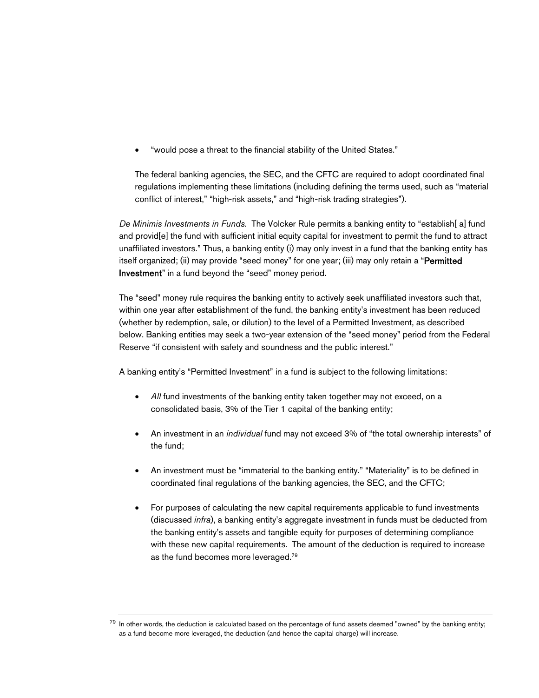"would pose a threat to the financial stability of the United States."

The federal banking agencies, the SEC, and the CFTC are required to adopt coordinated final regulations implementing these limitations (including defining the terms used, such as "material conflict of interest," "high-risk assets," and "high-risk trading strategies").

*De Minimis Investments in Funds.* The Volcker Rule permits a banking entity to "establish[ a] fund and provid[e] the fund with sufficient initial equity capital for investment to permit the fund to attract unaffiliated investors." Thus, a banking entity (i) may only invest in a fund that the banking entity has itself organized; (ii) may provide "seed money" for one year; (iii) may only retain a "Permitted Investment" in a fund beyond the "seed" money period.

The "seed" money rule requires the banking entity to actively seek unaffiliated investors such that, within one year after establishment of the fund, the banking entity's investment has been reduced (whether by redemption, sale, or dilution) to the level of a Permitted Investment, as described below. Banking entities may seek a two-year extension of the "seed money" period from the Federal Reserve "if consistent with safety and soundness and the public interest."

A banking entity's "Permitted Investment" in a fund is subject to the following limitations:

- All fund investments of the banking entity taken together may not exceed, on a consolidated basis, 3% of the Tier 1 capital of the banking entity;
- An investment in an *individual* fund may not exceed 3% of "the total ownership interests" of the fund;
- An investment must be "immaterial to the banking entity." "Materiality" is to be defined in coordinated final regulations of the banking agencies, the SEC, and the CFTC;
- For purposes of calculating the new capital requirements applicable to fund investments (discussed *infra*), a banking entity's aggregate investment in funds must be deducted from the banking entity's assets and tangible equity for purposes of determining compliance with these new capital requirements. The amount of the deduction is required to increase as the fund becomes more leveraged.<sup>79</sup>

<sup>&</sup>lt;sup>79</sup> In other words, the deduction is calculated based on the percentage of fund assets deemed "owned" by the banking entity; as a fund become more leveraged, the deduction (and hence the capital charge) will increase.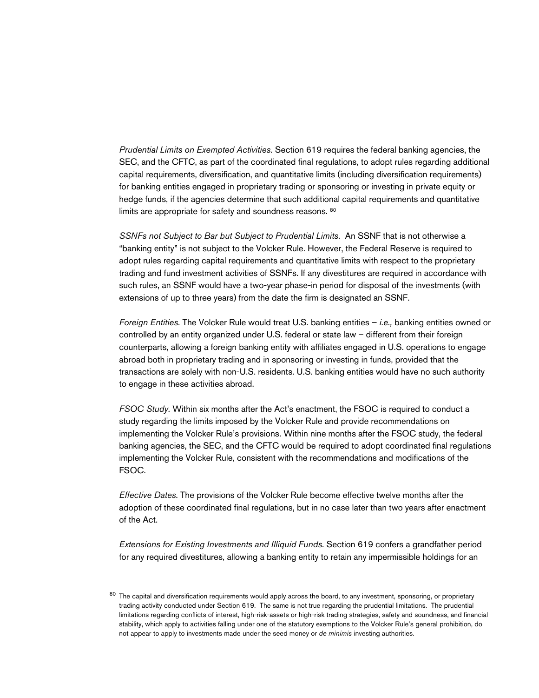*Prudential Limits on Exempted Activities.* Section 619 requires the federal banking agencies, the SEC, and the CFTC, as part of the coordinated final regulations, to adopt rules regarding additional capital requirements, diversification, and quantitative limits (including diversification requirements) for banking entities engaged in proprietary trading or sponsoring or investing in private equity or hedge funds, if the agencies determine that such additional capital requirements and quantitative limits are appropriate for safety and soundness reasons. <sup>80</sup>

*SSNFs not Subject to Bar but Subject to Prudential Limits.* An SSNF that is not otherwise a "banking entity" is not subject to the Volcker Rule. However, the Federal Reserve is required to adopt rules regarding capital requirements and quantitative limits with respect to the proprietary trading and fund investment activities of SSNFs. If any divestitures are required in accordance with such rules, an SSNF would have a two-year phase-in period for disposal of the investments (with extensions of up to three years) from the date the firm is designated an SSNF.

*Foreign Entities.* The Volcker Rule would treat U.S. banking entities – *i.e.,* banking entities owned or controlled by an entity organized under U.S. federal or state law – different from their foreign counterparts, allowing a foreign banking entity with affiliates engaged in U.S. operations to engage abroad both in proprietary trading and in sponsoring or investing in funds, provided that the transactions are solely with non-U.S. residents. U.S. banking entities would have no such authority to engage in these activities abroad.

*FSOC Study.* Within six months after the Act's enactment, the FSOC is required to conduct a study regarding the limits imposed by the Volcker Rule and provide recommendations on implementing the Volcker Rule's provisions. Within nine months after the FSOC study, the federal banking agencies, the SEC, and the CFTC would be required to adopt coordinated final regulations implementing the Volcker Rule, consistent with the recommendations and modifications of the FSOC.

*Effective Dates.* The provisions of the Volcker Rule become effective twelve months after the adoption of these coordinated final regulations, but in no case later than two years after enactment of the Act.

*Extensions for Existing Investments and Illiquid Funds.* Section 619 confers a grandfather period for any required divestitures, allowing a banking entity to retain any impermissible holdings for an

<sup>&</sup>lt;sup>80</sup> The capital and diversification requirements would apply across the board, to any investment, sponsoring, or proprietary trading activity conducted under Section 619. The same is not true regarding the prudential limitations. The prudential limitations regarding conflicts of interest, high-risk-assets or high-risk trading strategies, safety and soundness, and financial stability, which apply to activities falling under one of the statutory exemptions to the Volcker Rule's general prohibition, do not appear to apply to investments made under the seed money or *de minimis* investing authorities.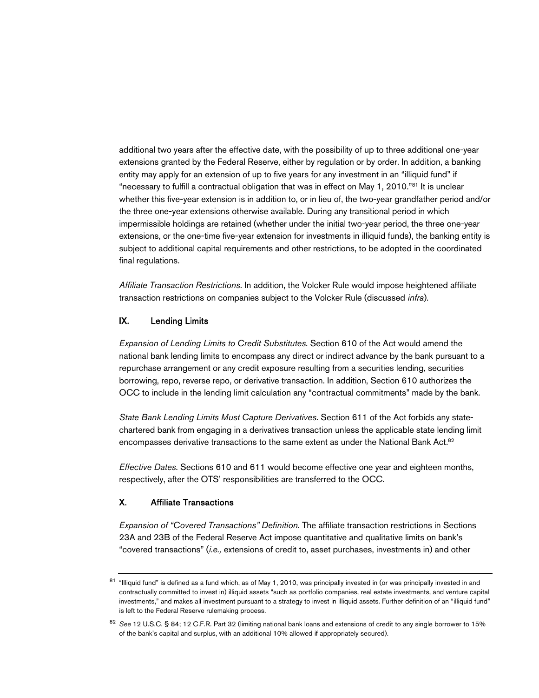additional two years after the effective date, with the possibility of up to three additional one-year extensions granted by the Federal Reserve, either by regulation or by order. In addition, a banking entity may apply for an extension of up to five years for any investment in an "illiquid fund" if "necessary to fulfill a contractual obligation that was in effect on May 1, 2010."<sup>81</sup> It is unclear whether this five-year extension is in addition to, or in lieu of, the two-year grandfather period and/or the three one-year extensions otherwise available. During any transitional period in which impermissible holdings are retained (whether under the initial two-year period, the three one-year extensions, or the one-time five-year extension for investments in illiquid funds), the banking entity is subject to additional capital requirements and other restrictions, to be adopted in the coordinated final regulations.

*Affiliate Transaction Restrictions.* In addition, the Volcker Rule would impose heightened affiliate transaction restrictions on companies subject to the Volcker Rule (discussed *infra*).

#### IX. Lending Limits

*Expansion of Lending Limits to Credit Substitutes.* Section 610 of the Act would amend the national bank lending limits to encompass any direct or indirect advance by the bank pursuant to a repurchase arrangement or any credit exposure resulting from a securities lending, securities borrowing, repo, reverse repo, or derivative transaction. In addition, Section 610 authorizes the OCC to include in the lending limit calculation any "contractual commitments" made by the bank.

*State Bank Lending Limits Must Capture Derivatives.* Section 611 of the Act forbids any statechartered bank from engaging in a derivatives transaction unless the applicable state lending limit encompasses derivative transactions to the same extent as under the National Bank Act.<sup>82</sup>

*Effective Dates.* Sections 610 and 611 would become effective one year and eighteen months, respectively, after the OTS' responsibilities are transferred to the OCC.

#### X. Affiliate Transactions

*Expansion of "Covered Transactions" Definition.* The affiliate transaction restrictions in Sections 23A and 23B of the Federal Reserve Act impose quantitative and qualitative limits on bank's "covered transactions" (*i.e.,* extensions of credit to, asset purchases, investments in) and other

<sup>81 &</sup>quot;Illiquid fund" is defined as a fund which, as of May 1, 2010, was principally invested in (or was principally invested in and contractually committed to invest in) illiquid assets "such as portfolio companies, real estate investments, and venture capital investments," and makes all investment pursuant to a strategy to invest in illiquid assets. Further definition of an "illiquid fund" is left to the Federal Reserve rulemaking process.

<sup>82</sup> *See* 12 U.S.C. § 84; 12 C.F.R. Part 32 (limiting national bank loans and extensions of credit to any single borrower to 15% of the bank's capital and surplus, with an additional 10% allowed if appropriately secured).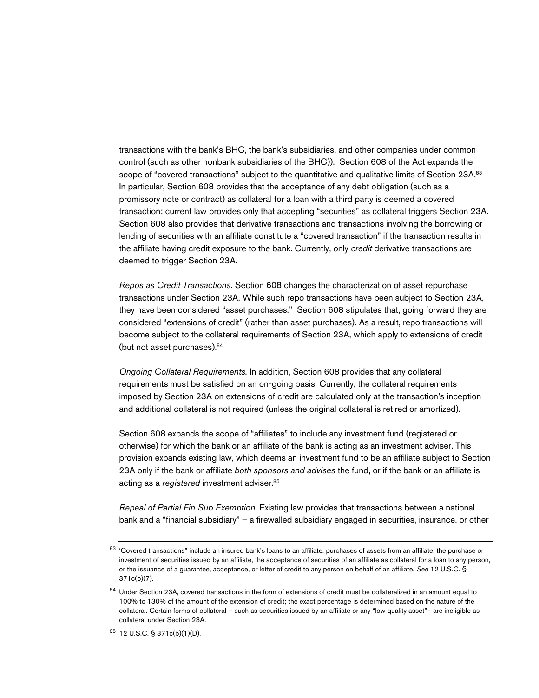transactions with the bank's BHC, the bank's subsidiaries, and other companies under common control (such as other nonbank subsidiaries of the BHC)). Section 608 of the Act expands the scope of "covered transactions" subject to the quantitative and qualitative limits of Section 23A.83 In particular, Section 608 provides that the acceptance of any debt obligation (such as a promissory note or contract) as collateral for a loan with a third party is deemed a covered transaction; current law provides only that accepting "securities" as collateral triggers Section 23A. Section 608 also provides that derivative transactions and transactions involving the borrowing or lending of securities with an affiliate constitute a "covered transaction" if the transaction results in the affiliate having credit exposure to the bank. Currently, only *credit* derivative transactions are deemed to trigger Section 23A.

*Repos as Credit Transactions.* Section 608 changes the characterization of asset repurchase transactions under Section 23A. While such repo transactions have been subject to Section 23A, they have been considered "asset purchases." Section 608 stipulates that, going forward they are considered "extensions of credit" (rather than asset purchases). As a result, repo transactions will become subject to the collateral requirements of Section 23A, which apply to extensions of credit (but not asset purchases).<sup>84</sup>

*Ongoing Collateral Requirements.* In addition, Section 608 provides that any collateral requirements must be satisfied on an on-going basis. Currently, the collateral requirements imposed by Section 23A on extensions of credit are calculated only at the transaction's inception and additional collateral is not required (unless the original collateral is retired or amortized).

Section 608 expands the scope of "affiliates" to include any investment fund (registered or otherwise) for which the bank or an affiliate of the bank is acting as an investment adviser. This provision expands existing law, which deems an investment fund to be an affiliate subject to Section 23A only if the bank or affiliate *both sponsors and advises* the fund, or if the bank or an affiliate is acting as a *registered* investment adviser.<sup>85</sup>

*Repeal of Partial Fin Sub Exemption.* Existing law provides that transactions between a national bank and a "financial subsidiary" – a firewalled subsidiary engaged in securities, insurance, or other

<sup>83 &#</sup>x27;Covered transactions" include an insured bank's loans to an affiliate, purchases of assets from an affiliate, the purchase or investment of securities issued by an affiliate, the acceptance of securities of an affiliate as collateral for a loan to any person, or the issuance of a guarantee, acceptance, or letter of credit to any person on behalf of an affiliate. *See* 12 U.S.C. § 371c(b)(7).

<sup>&</sup>lt;sup>84</sup> Under Section 23A, covered transactions in the form of extensions of credit must be collateralized in an amount equal to 100% to 130% of the amount of the extension of credit; the exact percentage is determined based on the nature of the collateral. Certain forms of collateral – such as securities issued by an affiliate or any "low quality asset"– are ineligible as collateral under Section 23A.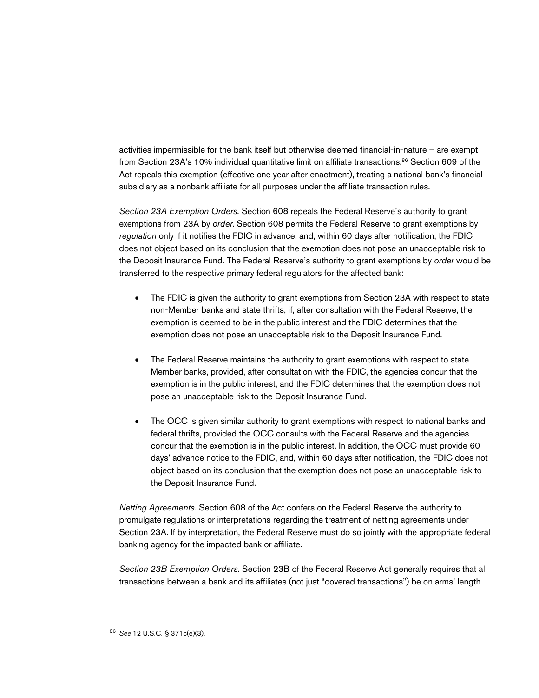activities impermissible for the bank itself but otherwise deemed financial-in-nature – are exempt from Section 23A's 10% individual quantitative limit on affiliate transactions.<sup>86</sup> Section 609 of the Act repeals this exemption (effective one year after enactment), treating a national bank's financial subsidiary as a nonbank affiliate for all purposes under the affiliate transaction rules.

*Section 23A Exemption Orders.* Section 608 repeals the Federal Reserve's authority to grant exemptions from 23A by *order*. Section 608 permits the Federal Reserve to grant exemptions by *regulation* only if it notifies the FDIC in advance, and, within 60 days after notification, the FDIC does not object based on its conclusion that the exemption does not pose an unacceptable risk to the Deposit Insurance Fund. The Federal Reserve's authority to grant exemptions by *order* would be transferred to the respective primary federal regulators for the affected bank:

- The FDIC is given the authority to grant exemptions from Section 23A with respect to state non-Member banks and state thrifts, if, after consultation with the Federal Reserve, the exemption is deemed to be in the public interest and the FDIC determines that the exemption does not pose an unacceptable risk to the Deposit Insurance Fund.
- The Federal Reserve maintains the authority to grant exemptions with respect to state Member banks, provided, after consultation with the FDIC, the agencies concur that the exemption is in the public interest, and the FDIC determines that the exemption does not pose an unacceptable risk to the Deposit Insurance Fund.
- The OCC is given similar authority to grant exemptions with respect to national banks and federal thrifts, provided the OCC consults with the Federal Reserve and the agencies concur that the exemption is in the public interest. In addition, the OCC must provide 60 days' advance notice to the FDIC, and, within 60 days after notification, the FDIC does not object based on its conclusion that the exemption does not pose an unacceptable risk to the Deposit Insurance Fund.

*Netting Agreements.* Section 608 of the Act confers on the Federal Reserve the authority to promulgate regulations or interpretations regarding the treatment of netting agreements under Section 23A. If by interpretation, the Federal Reserve must do so jointly with the appropriate federal banking agency for the impacted bank or affiliate.

*Section 23B Exemption Orders.* Section 23B of the Federal Reserve Act generally requires that all transactions between a bank and its affiliates (not just "covered transactions") be on arms' length

<sup>86</sup> *See* 12 U.S.C. § 371c(e)(3).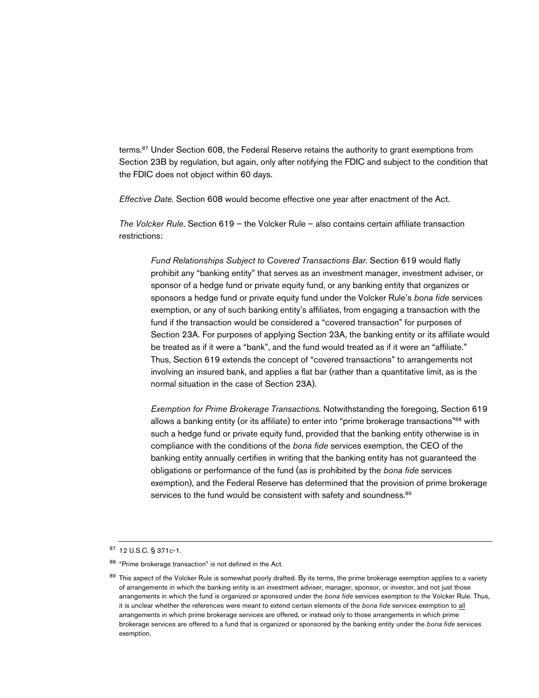terms.<sup>87</sup> Under Section 608, the Federal Reserve retains the authority to grant exemptions from Section 23B by regulation, but again, only after notifying the FDIC and subject to the condition that the FDIC does not object within 60 days.

*Effective Date.* Section 608 would become effective one year after enactment of the Act.

*The Volcker Rule.* Section 619 – the Volcker Rule – also contains certain affiliate transaction restrictions:

*Fund Relationships Subject to Covered Transactions Bar.* Section 619 would flatly prohibit any "banking entity" that serves as an investment manager, investment adviser, or sponsor of a hedge fund or private equity fund, or any banking entity that organizes or sponsors a hedge fund or private equity fund under the Volcker Rule's *bona fide* services exemption, or any of such banking entity's affiliates, from engaging a transaction with the fund if the transaction would be considered a "covered transaction" for purposes of Section 23A. For purposes of applying Section 23A, the banking entity or its affiliate would be treated as if it were a "bank", and the fund would treated as if it were an "affiliate." Thus, Section 619 extends the concept of "covered transactions" to arrangements not involving an insured bank, and applies a flat bar (rather than a quantitative limit, as is the normal situation in the case of Section 23A).

*Exemption for Prime Brokerage Transactions.* Notwithstanding the foregoing, Section 619 allows a banking entity (or its affiliate) to enter into "prime brokerage transactions"<sup>88</sup> with such a hedge fund or private equity fund, provided that the banking entity otherwise is in compliance with the conditions of the *bona fide* services exemption, the CEO of the banking entity annually certifies in writing that the banking entity has not guaranteed the obligations or performance of the fund (as is prohibited by the *bona fide* services exemption), and the Federal Reserve has determined that the provision of prime brokerage services to the fund would be consistent with safety and soundness.<sup>89</sup>

<sup>87</sup> 12 U.S.C. § 371c-1.

<sup>88 &</sup>quot;Prime brokerage transaction" is not defined in the Act.

<sup>&</sup>lt;sup>89</sup> This aspect of the Volcker Rule is somewhat poorly drafted. By its terms, the prime brokerage exemption applies to a variety of arrangements in which the banking entity is an investment adviser, manager, sponsor, or investor, and not just those arrangements in which the fund is organized or sponsored under the *bona fide* services exemption to the Volcker Rule. Thus, it is unclear whether the references were meant to extend certain elements of the *bona fide* services exemption to all arrangements in which prime brokerage services are offered, or instead only to those arrangements in which prime brokerage services are offered to a fund that is organized or sponsored by the banking entity under the *bona fide* services exemption.